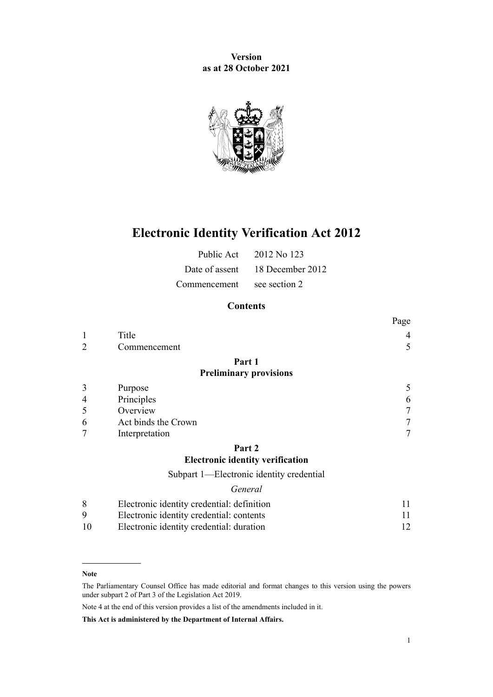**Version as at 28 October 2021**



# **Electronic Identity Verification Act 2012**

|                            | Public Act 2012 No 123          |
|----------------------------|---------------------------------|
|                            | Date of assent 18 December 2012 |
| Commencement see section 2 |                                 |

# **Contents**

|                |                               | 1 agu |
|----------------|-------------------------------|-------|
|                | Title                         |       |
| $\overline{2}$ | Commencement                  | 5     |
|                | Part 1                        |       |
|                | <b>Preliminary provisions</b> |       |
| 3              | Purpose                       |       |
| $\overline{4}$ | Principles                    | 6     |
| 5              | Overview                      |       |
| 6              | Act binds the Crown           |       |
| 7              | Interpretation                |       |

#### **[Part 2](#page-10-0)**

# **[Electronic identity verification](#page-10-0)**

[Subpart 1—Electronic identity credential](#page-10-0)

#### *[General](#page-10-0)*

|    | Electronic identity credential: definition |  |
|----|--------------------------------------------|--|
| 9  | Electronic identity credential: contents   |  |
| 10 | Electronic identity credential: duration   |  |

#### **Note**

Note 4 at the end of this version provides a list of the amendments included in it.

**This Act is administered by the Department of Internal Affairs.**

 $D_{\alpha\alpha\alpha}$ 

The Parliamentary Counsel Office has made editorial and format changes to this version using the powers under [subpart 2](http://legislation.govt.nz/pdflink.aspx?id=DLM7298371) of Part 3 of the Legislation Act 2019.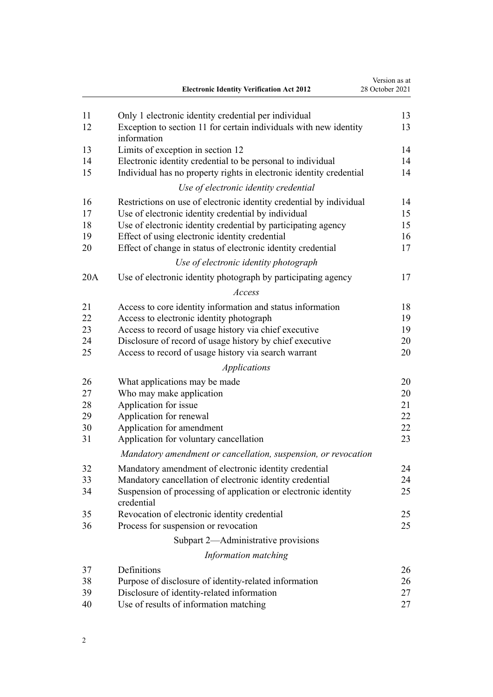|     | <b>Electronic Identity Verification Act 2012</b>                                                             | Version as at<br>28 October 2021 |
|-----|--------------------------------------------------------------------------------------------------------------|----------------------------------|
| 11  | Only 1 electronic identity credential per individual                                                         | 13                               |
| 12  | Exception to section 11 for certain individuals with new identity<br>information                             | 13                               |
| 13  | Limits of exception in section 12                                                                            | 14                               |
| 14  | Electronic identity credential to be personal to individual                                                  | 14                               |
| 15  | Individual has no property rights in electronic identity credential<br>Use of electronic identity credential | 14                               |
| 16  | Restrictions on use of electronic identity credential by individual                                          | 14                               |
| 17  | Use of electronic identity credential by individual                                                          | 15                               |
| 18  | Use of electronic identity credential by participating agency                                                | 15                               |
| 19  | Effect of using electronic identity credential                                                               | 16                               |
| 20  | Effect of change in status of electronic identity credential                                                 | 17                               |
|     | Use of electronic identity photograph                                                                        |                                  |
| 20A | Use of electronic identity photograph by participating agency                                                | 17                               |
|     | Access                                                                                                       |                                  |
| 21  | Access to core identity information and status information                                                   | 18                               |
| 22  | Access to electronic identity photograph                                                                     | 19                               |
| 23  | Access to record of usage history via chief executive                                                        | 19                               |
| 24  | Disclosure of record of usage history by chief executive                                                     | 20                               |
| 25  | Access to record of usage history via search warrant                                                         | 20                               |
|     | <i>Applications</i>                                                                                          |                                  |
| 26  | What applications may be made                                                                                | 20                               |
| 27  | Who may make application                                                                                     | 20                               |
| 28  | Application for issue                                                                                        | 21                               |
| 29  | Application for renewal                                                                                      | 22                               |
| 30  | Application for amendment                                                                                    | 22                               |
| 31  | Application for voluntary cancellation                                                                       | 23                               |
|     | Mandatory amendment or cancellation, suspension, or revocation                                               |                                  |
| 32  | Mandatory amendment of electronic identity credential                                                        | 24                               |
| 33  | Mandatory cancellation of electronic identity credential                                                     | 24                               |
| 34  | Suspension of processing of application or electronic identity<br>credential                                 | 25                               |
| 35  | Revocation of electronic identity credential                                                                 | 25                               |
| 36  | Process for suspension or revocation                                                                         | 25                               |
|     | Subpart 2-Administrative provisions                                                                          |                                  |
|     | Information matching                                                                                         |                                  |
| 37  | Definitions                                                                                                  | 26                               |
| 38  | Purpose of disclosure of identity-related information                                                        | 26                               |
| 39  | Disclosure of identity-related information                                                                   | 27                               |
| 40  | Use of results of information matching                                                                       | 27                               |
|     |                                                                                                              |                                  |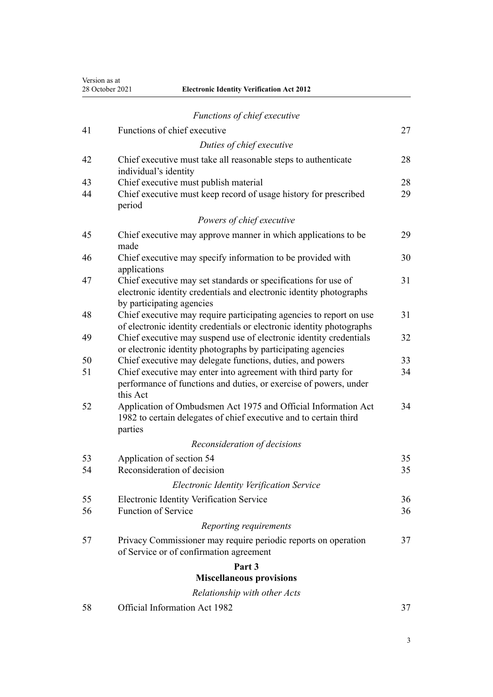Version as at<br>28 October 2021

|    | 28 October 2021<br><b>Electronic Identity Verification Act 2012</b>                                                                                                |    |
|----|--------------------------------------------------------------------------------------------------------------------------------------------------------------------|----|
|    | Functions of chief executive                                                                                                                                       |    |
| 41 | Functions of chief executive                                                                                                                                       | 27 |
|    |                                                                                                                                                                    |    |
|    | Duties of chief executive                                                                                                                                          |    |
| 42 | Chief executive must take all reasonable steps to authenticate<br>individual's identity                                                                            | 28 |
| 43 | Chief executive must publish material                                                                                                                              | 28 |
| 44 | Chief executive must keep record of usage history for prescribed<br>period                                                                                         | 29 |
|    | Powers of chief executive                                                                                                                                          |    |
| 45 | Chief executive may approve manner in which applications to be<br>made                                                                                             | 29 |
| 46 | Chief executive may specify information to be provided with<br>applications                                                                                        | 30 |
| 47 | Chief executive may set standards or specifications for use of<br>electronic identity credentials and electronic identity photographs<br>by participating agencies | 31 |
| 48 | Chief executive may require participating agencies to report on use<br>of electronic identity credentials or electronic identity photographs                       | 31 |
| 49 | Chief executive may suspend use of electronic identity credentials<br>or electronic identity photographs by participating agencies                                 | 32 |
| 50 | Chief executive may delegate functions, duties, and powers                                                                                                         | 33 |
| 51 | Chief executive may enter into agreement with third party for<br>performance of functions and duties, or exercise of powers, under<br>this Act                     | 34 |
| 52 | Application of Ombudsmen Act 1975 and Official Information Act<br>1982 to certain delegates of chief executive and to certain third<br>parties                     | 34 |
|    | Reconsideration of decisions                                                                                                                                       |    |
| 53 | Application of section 54                                                                                                                                          | 35 |
| 54 | Reconsideration of decision                                                                                                                                        | 35 |
|    | Electronic Identity Verification Service                                                                                                                           |    |
| 55 | Electronic Identity Verification Service                                                                                                                           | 36 |
| 56 | <b>Function of Service</b>                                                                                                                                         | 36 |
|    | Reporting requirements                                                                                                                                             |    |
| 57 | Privacy Commissioner may require periodic reports on operation<br>of Service or of confirmation agreement                                                          | 37 |
|    | Part 3                                                                                                                                                             |    |
|    | <b>Miscellaneous provisions</b>                                                                                                                                    |    |
|    | Relationship with other Acts                                                                                                                                       |    |

[58](#page-36-0) [Official Information Act 1982](#page-36-0) [37](#page-36-0)

3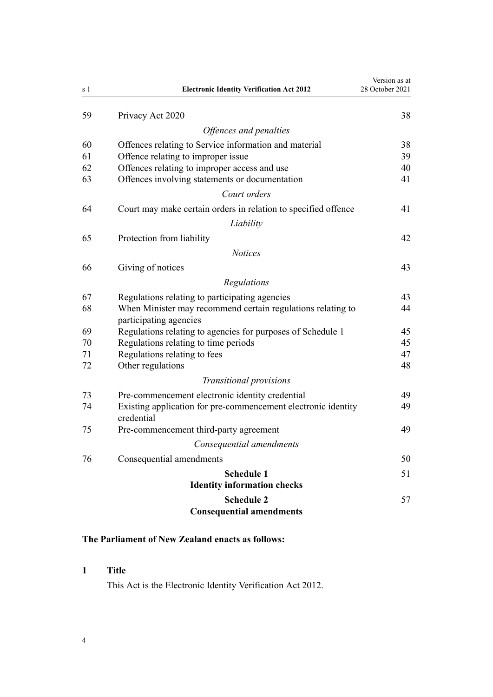<span id="page-3-0"></span>

| s 1 | <b>Electronic Identity Verification Act 2012</b>                                      | Version as at<br>28 October 2021 |
|-----|---------------------------------------------------------------------------------------|----------------------------------|
| 59  | Privacy Act 2020                                                                      | 38                               |
|     | Offences and penalties                                                                |                                  |
| 60  | Offences relating to Service information and material                                 | 38                               |
| 61  | Offence relating to improper issue                                                    | 39                               |
| 62  | Offences relating to improper access and use                                          | 40                               |
| 63  | Offences involving statements or documentation                                        | 41                               |
|     | Court orders                                                                          |                                  |
| 64  | Court may make certain orders in relation to specified offence                        | 41                               |
|     | Liability                                                                             |                                  |
| 65  | Protection from liability                                                             | 42                               |
|     | <b>Notices</b>                                                                        |                                  |
| 66  | Giving of notices                                                                     | 43                               |
|     | Regulations                                                                           |                                  |
| 67  | Regulations relating to participating agencies                                        | 43                               |
| 68  | When Minister may recommend certain regulations relating to<br>participating agencies | 44                               |
| 69  | Regulations relating to agencies for purposes of Schedule 1                           | 45                               |
| 70  | Regulations relating to time periods                                                  | 45                               |
| 71  | Regulations relating to fees                                                          | 47                               |
| 72  | Other regulations                                                                     | 48                               |
|     | Transitional provisions                                                               |                                  |
| 73  | Pre-commencement electronic identity credential                                       | 49                               |
| 74  | Existing application for pre-commencement electronic identity<br>credential           | 49                               |
| 75  | Pre-commencement third-party agreement                                                | 49                               |
|     | Consequential amendments                                                              |                                  |
| 76  | Consequential amendments                                                              | 50                               |
|     | <b>Schedule 1</b><br><b>Identity information checks</b>                               | 51                               |
|     | <b>Schedule 2</b>                                                                     | 57                               |
|     | <b>Consequential amendments</b>                                                       |                                  |

# **The Parliament of New Zealand enacts as follows:**

# **1 Title**

This Act is the Electronic Identity Verification Act 2012.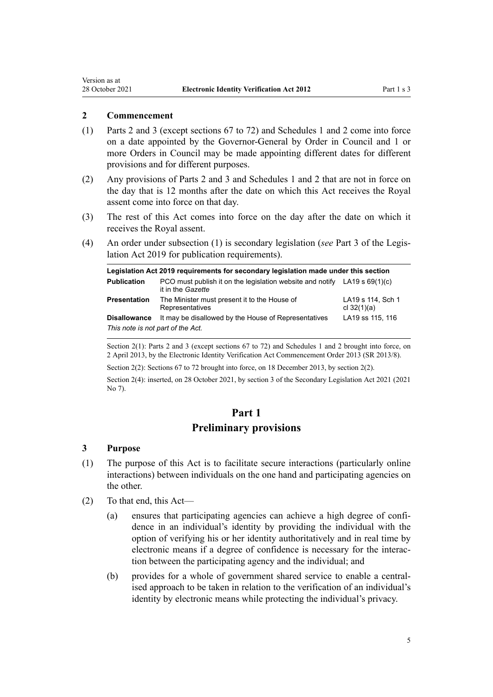#### <span id="page-4-0"></span>**2 Commencement**

- (1) [Parts 2](#page-10-0) and [3](#page-36-0) (except [sections 67 to 72\)](#page-42-0) and [Schedules 1](#page-50-0) and [2](#page-56-0) come into force on a date appointed by the Governor-General by Order in Council and 1 or more Orders in Council may be made appointing different dates for different provisions and for different purposes.
- (2) Any provisions of [Parts 2](#page-10-0) and [3](#page-36-0) and [Schedules 1](#page-50-0) and [2](#page-56-0) that are not in force on the day that is 12 months after the date on which this Act receives the Royal assent come into force on that day.
- (3) The rest of this Act comes into force on the day after the date on which it receives the Royal assent.
- (4) An order under subsection (1) is secondary legislation (*see* [Part 3](http://legislation.govt.nz/pdflink.aspx?id=DLM7298343) of the Legis‐ lation Act 2019 for publication requirements).

| Legislation Act 2019 requirements for secondary legislation made under this section |                                                                                                  |                                    |  |
|-------------------------------------------------------------------------------------|--------------------------------------------------------------------------------------------------|------------------------------------|--|
| <b>Publication</b>                                                                  | PCO must publish it on the legislation website and notify LA19 s $69(1)(c)$<br>it in the Gazette |                                    |  |
| <b>Presentation</b>                                                                 | The Minister must present it to the House of<br>Representatives                                  | LA19 s 114, Sch 1<br>cl $32(1)(a)$ |  |
| <b>Disallowance</b>                                                                 | It may be disallowed by the House of Representatives                                             | LA19 ss 115, 116                   |  |
| This note is not part of the Act.                                                   |                                                                                                  |                                    |  |

Section 2(1): Parts 2 and 3 (except sections 67 to 72) and Schedules 1 and 2 brought into force, on 2 April 2013, by the Electronic Identity Verification Act Commencement Order 2013 (SR 2013/8).

Section 2(2): Sections 67 to 72 brought into force, on 18 December 2013, by section 2(2).

Section 2(4): inserted, on 28 October 2021, by [section 3](http://legislation.govt.nz/pdflink.aspx?id=LMS268932) of the Secondary Legislation Act 2021 (2021 No 7).

# **Part 1**

# **Preliminary provisions**

#### **3 Purpose**

- (1) The purpose of this Act is to facilitate secure interactions (particularly online interactions) between individuals on the one hand and participating agencies on the other.
- (2) To that end, this Act—
	- (a) ensures that participating agencies can achieve a high degree of confi‐ dence in an individual's identity by providing the individual with the option of verifying his or her identity authoritatively and in real time by electronic means if a degree of confidence is necessary for the interac‐ tion between the participating agency and the individual; and
	- (b) provides for a whole of government shared service to enable a centralised approach to be taken in relation to the verification of an individual's identity by electronic means while protecting the individual's privacy.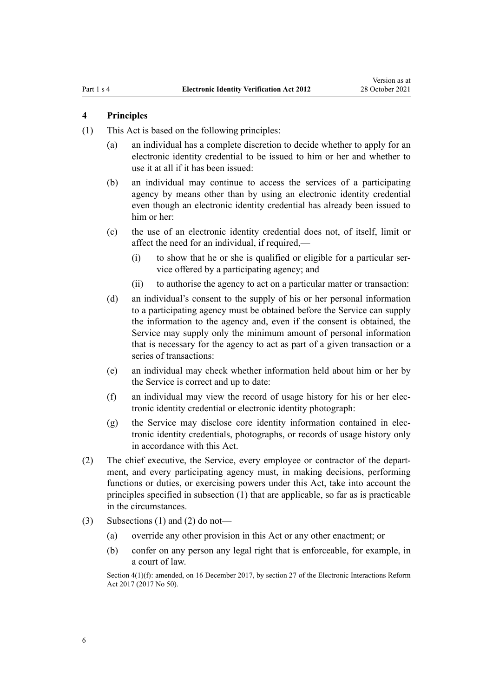# <span id="page-5-0"></span>**4 Principles**

- (1) This Act is based on the following principles:
	- (a) an individual has a complete discretion to decide whether to apply for an electronic identity credential to be issued to him or her and whether to use it at all if it has been issued:
	- (b) an individual may continue to access the services of a participating agency by means other than by using an electronic identity credential even though an electronic identity credential has already been issued to him or her:
	- (c) the use of an electronic identity credential does not, of itself, limit or affect the need for an individual, if required,—
		- $(i)$  to show that he or she is qualified or eligible for a particular service offered by a participating agency; and
		- (ii) to authorise the agency to act on a particular matter or transaction:
	- (d) an individual's consent to the supply of his or her personal information to a participating agency must be obtained before the Service can supply the information to the agency and, even if the consent is obtained, the Service may supply only the minimum amount of personal information that is necessary for the agency to act as part of a given transaction or a series of transactions:
	- (e) an individual may check whether information held about him or her by the Service is correct and up to date:
	- (f) an individual may view the record of usage history for his or her elec‐ tronic identity credential or electronic identity photograph:
	- $(g)$  the Service may disclose core identity information contained in electronic identity credentials, photographs, or records of usage history only in accordance with this Act.
- (2) The chief executive, the Service, every employee or contractor of the depart‐ ment, and every participating agency must, in making decisions, performing functions or duties, or exercising powers under this Act, take into account the principles specified in subsection (1) that are applicable, so far as is practicable in the circumstances.
- (3) Subsections (1) and (2) do not—
	- (a) override any other provision in this Act or any other enactment; or
	- (b) confer on any person any legal right that is enforceable, for example, in a court of law.

Section 4(1)(f): amended, on 16 December 2017, by [section 27](http://legislation.govt.nz/pdflink.aspx?id=DLM6962152) of the Electronic Interactions Reform Act 2017 (2017 No 50).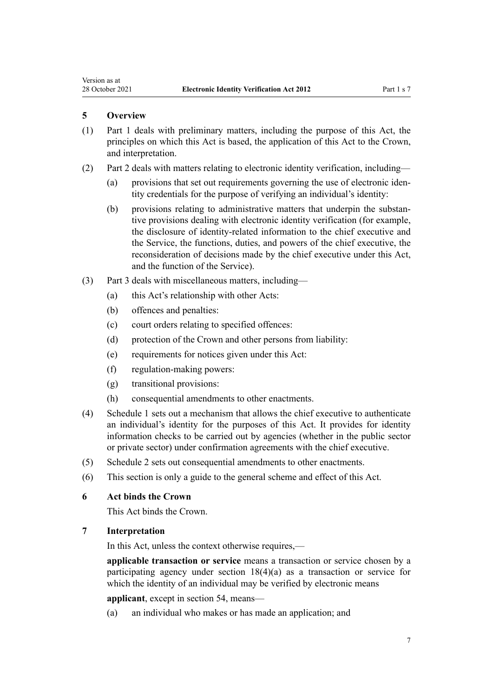# <span id="page-6-0"></span>**5 Overview**

- (1) Part 1 deals with preliminary matters, including the purpose of this Act, the principles on which this Act is based, the application of this Act to the Crown, and interpretation.
- (2) [Part 2](#page-10-0) deals with matters relating to electronic identity verification, including—
	- (a) provisions that set out requirements governing the use of electronic identity credentials for the purpose of verifying an individual's identity:
	- (b) provisions relating to administrative matters that underpin the substantive provisions dealing with electronic identity verification (for example, the disclosure of identity-related information to the chief executive and the Service, the functions, duties, and powers of the chief executive, the reconsideration of decisions made by the chief executive under this Act, and the function of the Service).
- (3) [Part 3](#page-36-0) deals with miscellaneous matters, including—
	- (a) this Act's relationship with other Acts:
	- (b) offences and penalties:
	- (c) court orders relating to specified offences:
	- (d) protection of the Crown and other persons from liability:
	- (e) requirements for notices given under this Act:
	- (f) regulation-making powers:
	- (g) transitional provisions:
	- (h) consequential amendments to other enactments.
- (4) [Schedule 1](#page-50-0) sets out a mechanism that allows the chief executive to authenticate an individual's identity for the purposes of this Act. It provides for identity information checks to be carried out by agencies (whether in the public sector or private sector) under confirmation agreements with the chief executive.
- (5) [Schedule 2](#page-56-0) sets out consequential amendments to other enactments.
- (6) This section is only a guide to the general scheme and effect of this Act.

## **6 Act binds the Crown**

This Act binds the Crown.

# **7 Interpretation**

In this Act, unless the context otherwise requires,—

**applicable transaction or service** means a transaction or service chosen by a participating agency under [section 18\(4\)\(a\)](#page-14-0) as a transaction or service for which the identity of an individual may be verified by electronic means

**applicant**, except in [section 54,](#page-34-0) means—

(a) an individual who makes or has made an application; and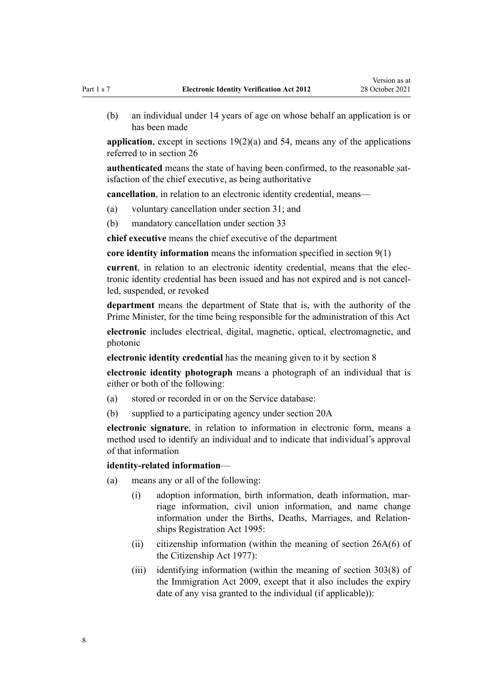(b) an individual under 14 years of age on whose behalf an application is or has been made

**application**, except in [sections 19\(2\)\(a\)](#page-15-0) and [54](#page-34-0), means any of the applications referred to in [section 26](#page-19-0)

**authenticated** means the state of having been confirmed, to the reasonable satisfaction of the chief executive, as being authoritative

**cancellation**, in relation to an electronic identity credential, means—

- (a) voluntary cancellation under [section 31;](#page-22-0) and
- (b) mandatory cancellation under [section 33](#page-23-0)

**chief executive** means the chief executive of the department

**core identity information** means the information specified in [section 9\(1\)](#page-10-0)

**current**, in relation to an electronic identity credential, means that the elec‐ tronic identity credential has been issued and has not expired and is not cancel‐ led, suspended, or revoked

**department** means the department of State that is, with the authority of the Prime Minister, for the time being responsible for the administration of this Act

**electronic** includes electrical, digital, magnetic, optical, electromagnetic, and photonic

**electronic identity credential** has the meaning given to it by [section 8](#page-10-0)

**electronic identity photograph** means a photograph of an individual that is either or both of the following:

- (a) stored or recorded in or on the Service database:
- (b) supplied to a participating agency under [section 20A](#page-16-0)

**electronic signature**, in relation to information in electronic form, means a method used to identify an individual and to indicate that individual's approval of that information

#### **identity-related information**—

- (a) means any or all of the following:
	- (i) adoption information, birth information, death information, mar‐ riage information, civil union information, and name change information under the [Births, Deaths, Marriages, and Relation‐](http://legislation.govt.nz/pdflink.aspx?id=DLM359368) [ships Registration Act 1995](http://legislation.govt.nz/pdflink.aspx?id=DLM359368):
	- (ii) citizenship information (within the meaning of [section 26A\(6\)](http://legislation.govt.nz/pdflink.aspx?id=DLM444014) of the Citizenship Act 1977):
	- (iii) identifying information (within the meaning of [section 303\(8\)](http://legislation.govt.nz/pdflink.aspx?id=DLM2391029) of the Immigration Act 2009, except that it also includes the expiry date of any visa granted to the individual (if applicable)):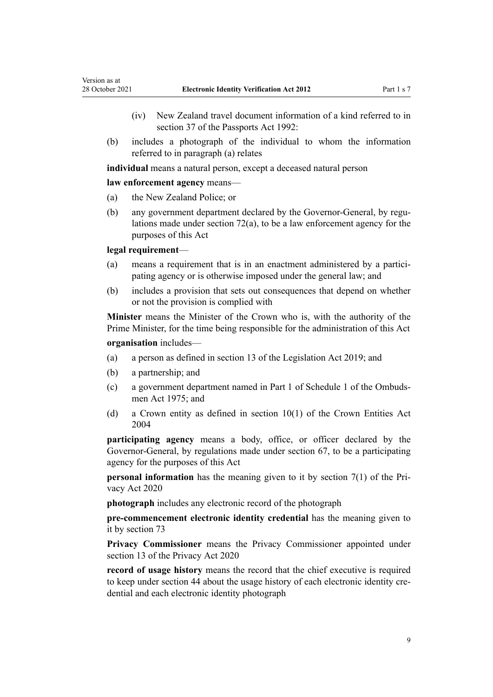- (iv) New Zealand travel document information of a kind referred to in [section 37](http://legislation.govt.nz/pdflink.aspx?id=DLM278329) of the Passports Act 1992:
- (b) includes a photograph of the individual to whom the information referred to in paragraph (a) relates

**individual** means a natural person, except a deceased natural person

#### **law enforcement agency** means—

- (a) the New Zealand Police; or
- (b) any government department declared by the Governor-General, by regulations made under [section 72\(a\),](#page-47-0) to be a law enforcement agency for the purposes of this Act

#### **legal requirement**—

- (a) means a requirement that is in an enactment administered by a participating agency or is otherwise imposed under the general law; and
- (b) includes a provision that sets out consequences that depend on whether or not the provision is complied with

**Minister** means the Minister of the Crown who is, with the authority of the Prime Minister, for the time being responsible for the administration of this Act

#### **organisation** includes—

- (a) a person as defined in [section 13](http://legislation.govt.nz/pdflink.aspx?id=DLM7298197) of the Legislation Act 2019; and
- (b) a partnership; and
- (c) a government department named in [Part 1](http://legislation.govt.nz/pdflink.aspx?id=DLM431205) of Schedule 1 of the Ombuds‐ men Act 1975; and
- (d) a Crown entity as defined in [section 10\(1\)](http://legislation.govt.nz/pdflink.aspx?id=DLM329649) of the Crown Entities Act 2004

**participating agency** means a body, office, or officer declared by the Governor-General, by regulations made under [section 67,](#page-42-0) to be a participating agency for the purposes of this Act

**personal information** has the meaning given to it by [section 7\(1\)](http://legislation.govt.nz/pdflink.aspx?id=LMS23312) of the Privacy Act 2020

**photograph** includes any electronic record of the photograph

**pre-commencement electronic identity credential** has the meaning given to it by [section 73](#page-48-0)

**Privacy Commissioner** means the Privacy Commissioner appointed under [section 13](http://legislation.govt.nz/pdflink.aspx?id=LMS23322) of the Privacy Act 2020

**record of usage history** means the record that the chief executive is required to keep under [section 44](#page-28-0) about the usage history of each electronic identity credential and each electronic identity photograph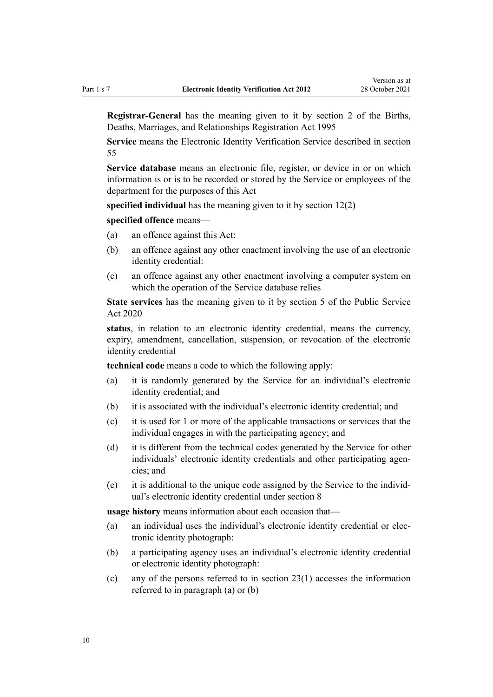**Registrar-General** has the meaning given to it by [section 2](http://legislation.govt.nz/pdflink.aspx?id=DLM359378) of the Births, Deaths, Marriages, and Relationships Registration Act 1995

**Service** means the Electronic Identity Verification Service described in [section](#page-35-0) [55](#page-35-0)

**Service database** means an electronic file, register, or device in or on which information is or is to be recorded or stored by the Service or employees of the department for the purposes of this Act

**specified individual** has the meaning given to it by [section 12\(2\)](#page-12-0)

**specified offence** means—

- (a) an offence against this Act:
- (b) an offence against any other enactment involving the use of an electronic identity credential:
- (c) an offence against any other enactment involving a computer system on which the operation of the Service database relies

**State services** has the meaning given to it by [section 5](http://legislation.govt.nz/pdflink.aspx?id=LMS356868) of the Public Service Act 2020

**status**, in relation to an electronic identity credential, means the currency, expiry, amendment, cancellation, suspension, or revocation of the electronic identity credential

**technical code** means a code to which the following apply:

- (a) it is randomly generated by the Service for an individual's electronic identity credential; and
- (b) it is associated with the individual's electronic identity credential; and
- (c) it is used for 1 or more of the applicable transactions or services that the individual engages in with the participating agency; and
- (d) it is different from the technical codes generated by the Service for other individuals' electronic identity credentials and other participating agencies; and
- (e) it is additional to the unique code assigned by the Service to the individ‐ ual's electronic identity credential under [section 8](#page-10-0)

**usage history** means information about each occasion that—

- (a) an individual uses the individual's electronic identity credential or elec‐ tronic identity photograph:
- (b) a participating agency uses an individual's electronic identity credential or electronic identity photograph:
- (c) any of the persons referred to in [section 23\(1\)](#page-18-0) accesses the information referred to in paragraph (a) or (b)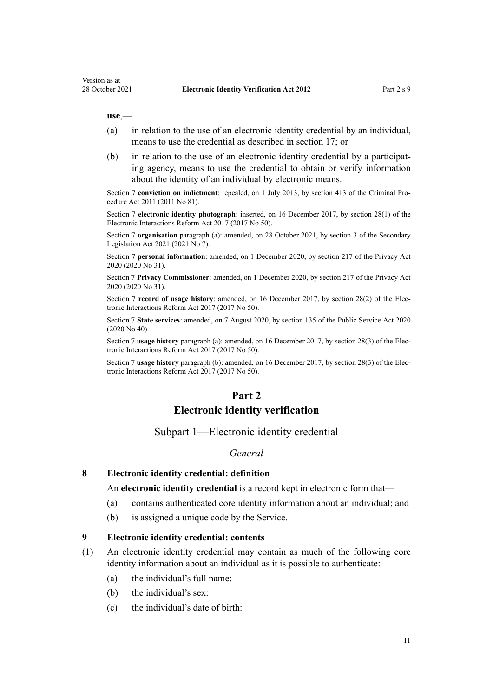#### <span id="page-10-0"></span>**use**,—

- (a) in relation to the use of an electronic identity credential by an individual, means to use the credential as described in [section 17;](#page-14-0) or
- (b) in relation to the use of an electronic identity credential by a participating agency, means to use the credential to obtain or verify information about the identity of an individual by electronic means.

Section 7 **conviction on indictment**: repealed, on 1 July 2013, by [section 413](http://legislation.govt.nz/pdflink.aspx?id=DLM3360714) of the Criminal Procedure Act 2011 (2011 No 81).

Section 7 **electronic identity photograph**: inserted, on 16 December 2017, by [section 28\(1\)](http://legislation.govt.nz/pdflink.aspx?id=DLM6962153) of the Electronic Interactions Reform Act 2017 (2017 No 50).

Section 7 **organisation** paragraph (a): amended, on 28 October 2021, by [section 3](http://legislation.govt.nz/pdflink.aspx?id=LMS268932) of the Secondary Legislation Act 2021 (2021 No 7).

Section 7 **personal information**: amended, on 1 December 2020, by [section 217](http://legislation.govt.nz/pdflink.aspx?id=LMS23706) of the Privacy Act 2020 (2020 No 31).

Section 7 **Privacy Commissioner**: amended, on 1 December 2020, by [section 217](http://legislation.govt.nz/pdflink.aspx?id=LMS23706) of the Privacy Act 2020 (2020 No 31).

Section 7 **record of usage history**: amended, on 16 December 2017, by [section 28\(2\)](http://legislation.govt.nz/pdflink.aspx?id=DLM6962153) of the Electronic Interactions Reform Act 2017 (2017 No 50).

Section 7 **State services**: amended, on 7 August 2020, by [section 135](http://legislation.govt.nz/pdflink.aspx?id=LMS176959) of the Public Service Act 2020 (2020 No 40).

Section 7 **usage history** paragraph (a): amended, on 16 December 2017, by [section 28\(3\)](http://legislation.govt.nz/pdflink.aspx?id=DLM6962153) of the Electronic Interactions Reform Act 2017 (2017 No 50).

Section 7 **usage history** paragraph (b): amended, on 16 December 2017, by [section 28\(3\)](http://legislation.govt.nz/pdflink.aspx?id=DLM6962153) of the Electronic Interactions Reform Act 2017 (2017 No 50).

# **Part 2**

#### **Electronic identity verification**

## Subpart 1—Electronic identity credential

#### *General*

#### **8 Electronic identity credential: definition**

An **electronic identity credential** is a record kept in electronic form that—

- (a) contains authenticated core identity information about an individual; and
- (b) is assigned a unique code by the Service.

#### **9 Electronic identity credential: contents**

- (1) An electronic identity credential may contain as much of the following core identity information about an individual as it is possible to authenticate:
	- (a) the individual's full name:
	- (b) the individual's sex:
	- (c) the individual's date of birth: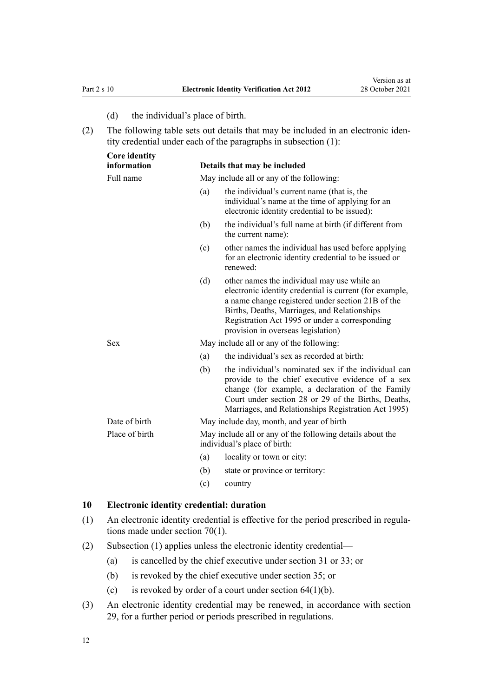- (d) the individual's place of birth.
- <span id="page-11-0"></span>(2) The following table sets out details that may be included in an electronic iden‐ tity credential under each of the paragraphs in subsection (1):

| <b>Core identity</b> |     |                                                                                                                                                                                                                                                                                                     |
|----------------------|-----|-----------------------------------------------------------------------------------------------------------------------------------------------------------------------------------------------------------------------------------------------------------------------------------------------------|
| information          |     | Details that may be included                                                                                                                                                                                                                                                                        |
| Full name            |     | May include all or any of the following:                                                                                                                                                                                                                                                            |
|                      | (a) | the individual's current name (that is, the<br>individual's name at the time of applying for an<br>electronic identity credential to be issued):                                                                                                                                                    |
|                      | (b) | the individual's full name at birth (if different from<br>the current name):                                                                                                                                                                                                                        |
|                      | (c) | other names the individual has used before applying<br>for an electronic identity credential to be issued or<br>renewed:                                                                                                                                                                            |
|                      | (d) | other names the individual may use while an<br>electronic identity credential is current (for example,<br>a name change registered under section 21B of the<br>Births, Deaths, Marriages, and Relationships<br>Registration Act 1995 or under a corresponding<br>provision in overseas legislation) |
| <b>Sex</b>           |     | May include all or any of the following:                                                                                                                                                                                                                                                            |
|                      | (a) | the individual's sex as recorded at birth:                                                                                                                                                                                                                                                          |
|                      | (b) | the individual's nominated sex if the individual can<br>provide to the chief executive evidence of a sex<br>change (for example, a declaration of the Family<br>Court under section 28 or 29 of the Births, Deaths,<br>Marriages, and Relationships Registration Act 1995)                          |
| Date of birth        |     | May include day, month, and year of birth                                                                                                                                                                                                                                                           |
| Place of birth       |     | May include all or any of the following details about the<br>individual's place of birth:                                                                                                                                                                                                           |
|                      | (a) | locality or town or city:                                                                                                                                                                                                                                                                           |
|                      | (b) | state or province or territory:                                                                                                                                                                                                                                                                     |
|                      | (c) | country                                                                                                                                                                                                                                                                                             |

#### **10 Electronic identity credential: duration**

- (1) An electronic identity credential is effective for the period prescribed in regula‐ tions made under [section 70\(1\).](#page-44-0)
- (2) Subsection (1) applies unless the electronic identity credential—
	- (a) is cancelled by the chief executive under [section 31](#page-22-0) or [33;](#page-23-0) or
	- (b) is revoked by the chief executive under [section 35;](#page-24-0) or
	- (c) is revoked by order of a court under section  $64(1)(b)$ .
- (3) An electronic identity credential may be renewed, in accordance with [section](#page-21-0) [29,](#page-21-0) for a further period or periods prescribed in regulations.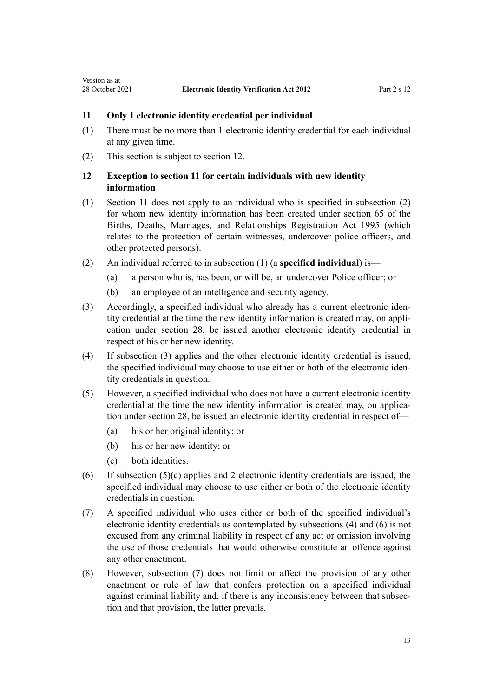#### **11 Only 1 electronic identity credential per individual**

- (1) There must be no more than 1 electronic identity credential for each individual at any given time.
- (2) This section is subject to section 12.

<span id="page-12-0"></span>Version as at

## **12 Exception to section 11 for certain individuals with new identity information**

- (1) Section 11 does not apply to an individual who is specified in subsection (2) for whom new identity information has been created under [section 65](http://legislation.govt.nz/pdflink.aspx?id=DLM364720) of the Births, Deaths, Marriages, and Relationships Registration Act 1995 (which relates to the protection of certain witnesses, undercover police officers, and other protected persons).
- (2) An individual referred to in subsection (1) (a **specified individual**) is—
	- (a) a person who is, has been, or will be, an undercover Police officer; or
	- (b) an employee of an intelligence and security agency.
- (3) Accordingly, a specified individual who already has a current electronic iden‐ tity credential at the time the new identity information is created may, on appli‐ cation under [section 28,](#page-20-0) be issued another electronic identity credential in respect of his or her new identity.
- (4) If subsection (3) applies and the other electronic identity credential is issued, the specified individual may choose to use either or both of the electronic iden‐ tity credentials in question.
- (5) However, a specified individual who does not have a current electronic identity credential at the time the new identity information is created may, on application under [section 28,](#page-20-0) be issued an electronic identity credential in respect of—
	- (a) his or her original identity; or
	- (b) his or her new identity; or
	- (c) both identities.
- (6) If subsection  $(5)(c)$  applies and 2 electronic identity credentials are issued, the specified individual may choose to use either or both of the electronic identity credentials in question.
- (7) A specified individual who uses either or both of the specified individual's electronic identity credentials as contemplated by subsections (4) and (6) is not excused from any criminal liability in respect of any act or omission involving the use of those credentials that would otherwise constitute an offence against any other enactment.
- (8) However, subsection (7) does not limit or affect the provision of any other enactment or rule of law that confers protection on a specified individual against criminal liability and, if there is any inconsistency between that subsec‐ tion and that provision, the latter prevails.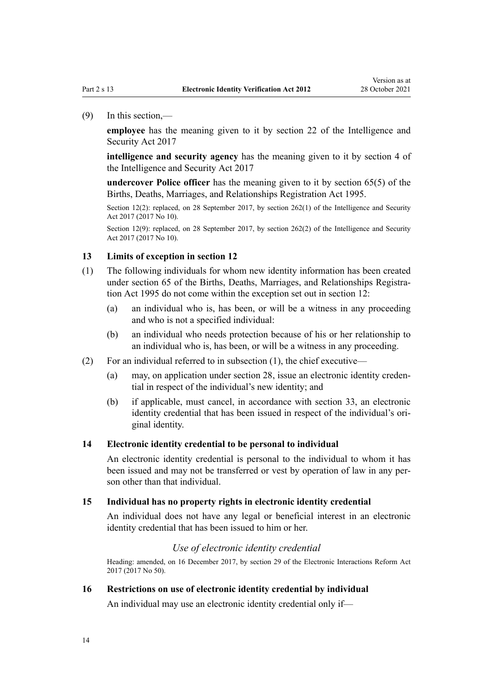<span id="page-13-0"></span>(9) In this section,—

**employee** has the meaning given to it by [section 22](http://legislation.govt.nz/pdflink.aspx?id=DLM6920944) of the Intelligence and Security Act 2017

**intelligence and security agency** has the meaning given to it by [section 4](http://legislation.govt.nz/pdflink.aspx?id=DLM6920830) of the Intelligence and Security Act 2017

**undercover Police officer** has the meaning given to it by [section 65\(5\)](http://legislation.govt.nz/pdflink.aspx?id=DLM364720) of the Births, Deaths, Marriages, and Relationships Registration Act 1995.

Section 12(2): replaced, on 28 September 2017, by [section 262\(1\)](http://legislation.govt.nz/pdflink.aspx?id=DLM6921324) of the Intelligence and Security Act 2017 (2017 No 10).

Section 12(9): replaced, on 28 September 2017, by [section 262\(2\)](http://legislation.govt.nz/pdflink.aspx?id=DLM6921324) of the Intelligence and Security Act 2017 (2017 No 10).

#### **13 Limits of exception in section 12**

- (1) The following individuals for whom new identity information has been created under [section 65](http://legislation.govt.nz/pdflink.aspx?id=DLM364720) of the Births, Deaths, Marriages, and Relationships Registration Act 1995 do not come within the exception set out in [section 12:](#page-12-0)
	- (a) an individual who is, has been, or will be a witness in any proceeding and who is not a specified individual:
	- (b) an individual who needs protection because of his or her relationship to an individual who is, has been, or will be a witness in any proceeding.
- (2) For an individual referred to in subsection (1), the chief executive—
	- (a) may, on application under [section 28](#page-20-0), issue an electronic identity creden‐ tial in respect of the individual's new identity; and
	- (b) if applicable, must cancel, in accordance with [section 33,](#page-23-0) an electronic identity credential that has been issued in respect of the individual's original identity.

#### **14 Electronic identity credential to be personal to individual**

An electronic identity credential is personal to the individual to whom it has been issued and may not be transferred or vest by operation of law in any person other than that individual.

#### **15 Individual has no property rights in electronic identity credential**

An individual does not have any legal or beneficial interest in an electronic identity credential that has been issued to him or her.

## *Use of electronic identity credential*

Heading: amended, on 16 December 2017, by [section 29](http://legislation.govt.nz/pdflink.aspx?id=DLM6962159) of the Electronic Interactions Reform Act 2017 (2017 No 50).

#### **16 Restrictions on use of electronic identity credential by individual**

An individual may use an electronic identity credential only if—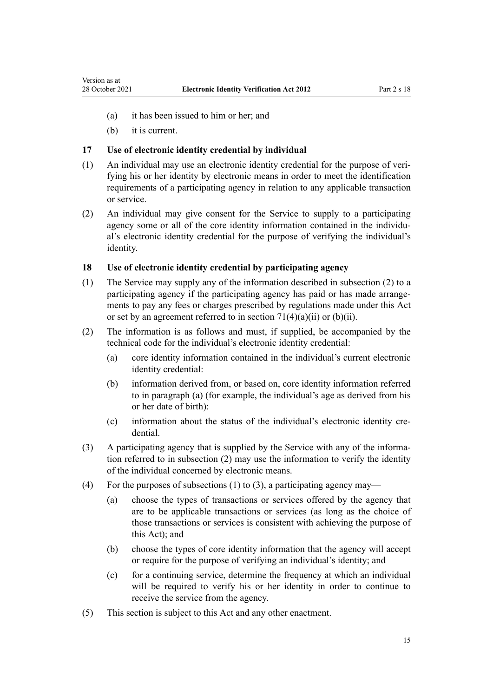- <span id="page-14-0"></span>(a) it has been issued to him or her; and
- (b) it is current.

# **17 Use of electronic identity credential by individual**

- (1) An individual may use an electronic identity credential for the purpose of veri‐ fying his or her identity by electronic means in order to meet the identification requirements of a participating agency in relation to any applicable transaction or service.
- (2) An individual may give consent for the Service to supply to a participating agency some or all of the core identity information contained in the individual's electronic identity credential for the purpose of verifying the individual's identity.

# **18 Use of electronic identity credential by participating agency**

- (1) The Service may supply any of the information described in subsection (2) to a participating agency if the participating agency has paid or has made arrangements to pay any fees or charges prescribed by regulations made under this Act or set by an agreement referred to in section  $71(4)(a)(ii)$  or  $(b)(ii)$ .
- (2) The information is as follows and must, if supplied, be accompanied by the technical code for the individual's electronic identity credential:
	- (a) core identity information contained in the individual's current electronic identity credential:
	- (b) information derived from, or based on, core identity information referred to in paragraph (a) (for example, the individual's age as derived from his or her date of birth):
	- (c) information about the status of the individual's electronic identity credential.
- (3) A participating agency that is supplied by the Service with any of the informa‐ tion referred to in subsection (2) may use the information to verify the identity of the individual concerned by electronic means.
- (4) For the purposes of subsections (1) to (3), a participating agency may—
	- (a) choose the types of transactions or services offered by the agency that are to be applicable transactions or services (as long as the choice of those transactions or services is consistent with achieving the purpose of this Act); and
	- (b) choose the types of core identity information that the agency will accept or require for the purpose of verifying an individual's identity; and
	- (c) for a continuing service, determine the frequency at which an individual will be required to verify his or her identity in order to continue to receive the service from the agency.
- (5) This section is subject to this Act and any other enactment.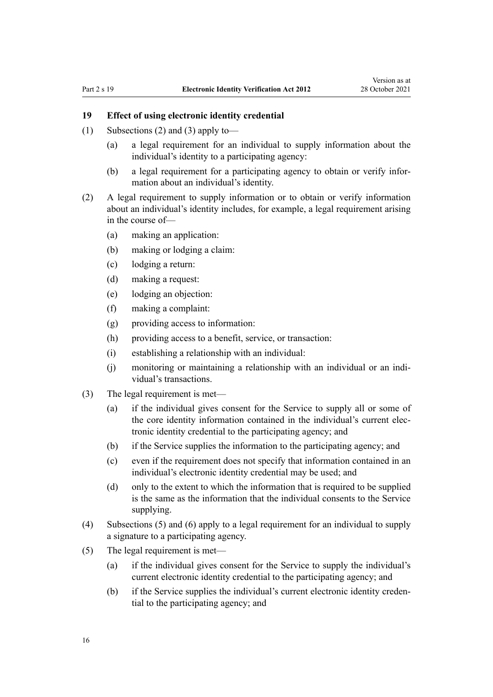# <span id="page-15-0"></span>**19 Effect of using electronic identity credential**

- (1) Subsections (2) and (3) apply to—
	- (a) a legal requirement for an individual to supply information about the individual's identity to a participating agency:
	- (b) a legal requirement for a participating agency to obtain or verify infor‐ mation about an individual's identity.
- (2) A legal requirement to supply information or to obtain or verify information about an individual's identity includes, for example, a legal requirement arising in the course of—
	- (a) making an application:
	- (b) making or lodging a claim:
	- (c) lodging a return:
	- (d) making a request:
	- (e) lodging an objection:
	- (f) making a complaint:
	- (g) providing access to information:
	- (h) providing access to a benefit, service, or transaction:
	- (i) establishing a relationship with an individual:
	- (j) monitoring or maintaining a relationship with an individual or an indi‐ vidual's transactions.
- (3) The legal requirement is met—
	- (a) if the individual gives consent for the Service to supply all or some of the core identity information contained in the individual's current elec‐ tronic identity credential to the participating agency; and
	- (b) if the Service supplies the information to the participating agency; and
	- (c) even if the requirement does not specify that information contained in an individual's electronic identity credential may be used; and
	- (d) only to the extent to which the information that is required to be supplied is the same as the information that the individual consents to the Service supplying.
- (4) Subsections (5) and (6) apply to a legal requirement for an individual to supply a signature to a participating agency.
- (5) The legal requirement is met—
	- (a) if the individual gives consent for the Service to supply the individual's current electronic identity credential to the participating agency; and
	- (b) if the Service supplies the individual's current electronic identity creden‐ tial to the participating agency; and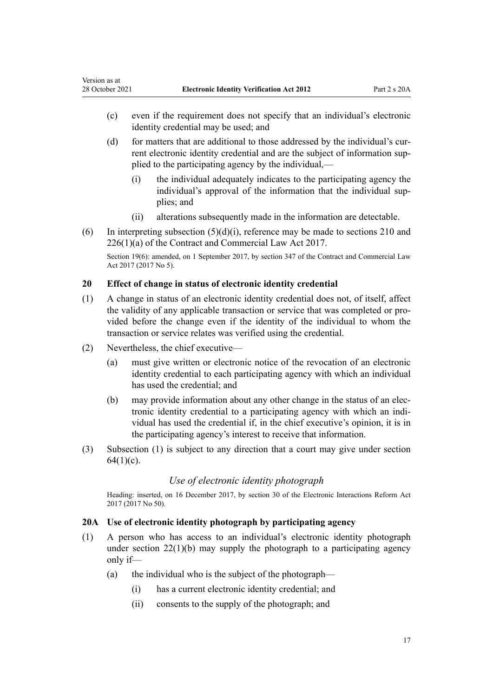<span id="page-16-0"></span>Version as at

- (c) even if the requirement does not specify that an individual's electronic identity credential may be used; and
- (d) for matters that are additional to those addressed by the individual's cur‐ rent electronic identity credential and are the subject of information supplied to the participating agency by the individual,—
	- (i) the individual adequately indicates to the participating agency the individual's approval of the information that the individual supplies; and
	- (ii) alterations subsequently made in the information are detectable.
- (6) In interpreting subsection  $(5)(d)(i)$ , reference may be made to [sections 210](http://legislation.govt.nz/pdflink.aspx?id=DLM6844450) and [226\(1\)\(a\)](http://legislation.govt.nz/pdflink.aspx?id=DLM6844474) of the Contract and Commercial Law Act 2017.

Section 19(6): amended, on 1 September 2017, by [section 347](http://legislation.govt.nz/pdflink.aspx?id=DLM6844761) of the Contract and Commercial Law Act 2017 (2017 No 5).

# **20 Effect of change in status of electronic identity credential**

- (1) A change in status of an electronic identity credential does not, of itself, affect the validity of any applicable transaction or service that was completed or pro‐ vided before the change even if the identity of the individual to whom the transaction or service relates was verified using the credential.
- (2) Nevertheless, the chief executive—
	- (a) must give written or electronic notice of the revocation of an electronic identity credential to each participating agency with which an individual has used the credential; and
	- (b) may provide information about any other change in the status of an elec‐ tronic identity credential to a participating agency with which an indi‐ vidual has used the credential if, in the chief executive's opinion, it is in the participating agency's interest to receive that information.
- (3) Subsection (1) is subject to any direction that a court may give under [section](#page-40-0)  $64(1)(c)$ .

# *Use of electronic identity photograph*

Heading: inserted, on 16 December 2017, by [section 30](http://legislation.govt.nz/pdflink.aspx?id=DLM6962160) of the Electronic Interactions Reform Act 2017 (2017 No 50).

#### **20A Use of electronic identity photograph by participating agency**

- (1) A person who has access to an individual's electronic identity photograph under [section 22\(1\)\(b\)](#page-18-0) may supply the photograph to a participating agency only if—
	- (a) the individual who is the subject of the photograph—
		- (i) has a current electronic identity credential; and
		- (ii) consents to the supply of the photograph; and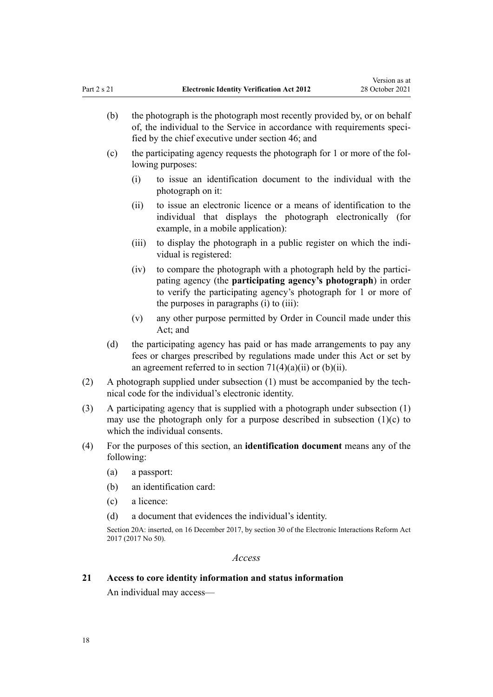- <span id="page-17-0"></span>(b) the photograph is the photograph most recently provided by, or on behalf of, the individual to the Service in accordance with requirements speci‐ fied by the chief executive under [section 46](#page-29-0); and
- (c) the participating agency requests the photograph for 1 or more of the fol‐ lowing purposes:
	- (i) to issue an identification document to the individual with the photograph on it:
	- (ii) to issue an electronic licence or a means of identification to the individual that displays the photograph electronically (for example, in a mobile application):
	- (iii) to display the photograph in a public register on which the individual is registered:
	- (iv) to compare the photograph with a photograph held by the participating agency (the **participating agency's photograph**) in order to verify the participating agency's photograph for 1 or more of the purposes in paragraphs (i) to (iii):
	- (v) any other purpose permitted by Order in Council made under this Act; and
- (d) the participating agency has paid or has made arrangements to pay any fees or charges prescribed by regulations made under this Act or set by an agreement referred to in section  $71(4)(a)(ii)$  or  $(b)(ii)$ .
- (2) A photograph supplied under subsection (1) must be accompanied by the tech‐ nical code for the individual's electronic identity.
- (3) A participating agency that is supplied with a photograph under subsection (1) may use the photograph only for a purpose described in subsection (1)(c) to which the individual consents.
- (4) For the purposes of this section, an **identification document** means any of the following:
	- (a) a passport:
	- (b) an identification card:
	- (c) a licence:
	- (d) a document that evidences the individual's identity.

Section 20A: inserted, on 16 December 2017, by [section 30](http://legislation.govt.nz/pdflink.aspx?id=DLM6962160) of the Electronic Interactions Reform Act 2017 (2017 No 50).

## *Access*

#### **21 Access to core identity information and status information**

An individual may access—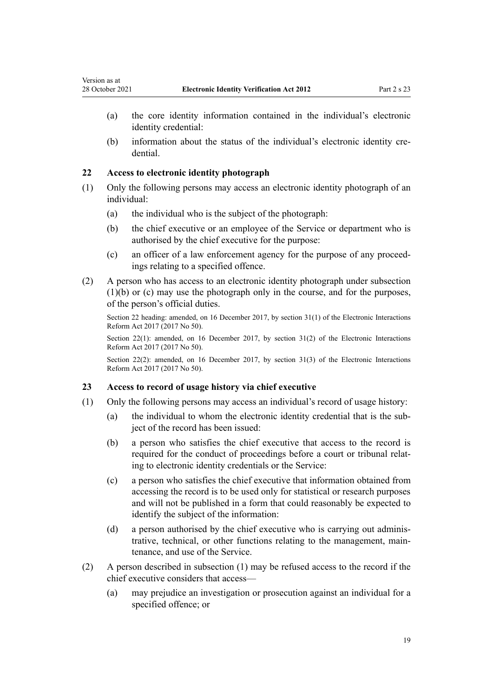- (a) the core identity information contained in the individual's electronic identity credential:
- (b) information about the status of the individual's electronic identity credential.

#### **22 Access to electronic identity photograph**

<span id="page-18-0"></span>Version as at

- (1) Only the following persons may access an electronic identity photograph of an individual:
	- (a) the individual who is the subject of the photograph:
	- (b) the chief executive or an employee of the Service or department who is authorised by the chief executive for the purpose:
	- (c) an officer of a law enforcement agency for the purpose of any proceed‐ ings relating to a specified offence.
- (2) A person who has access to an electronic identity photograph under subsection (1)(b) or (c) may use the photograph only in the course, and for the purposes, of the person's official duties.

Section 22 heading: amended, on 16 December 2017, by [section 31\(1\)](http://legislation.govt.nz/pdflink.aspx?id=DLM6962164) of the Electronic Interactions Reform Act 2017 (2017 No 50).

Section 22(1): amended, on 16 December 2017, by section  $31(2)$  of the Electronic Interactions Reform Act 2017 (2017 No 50).

Section 22(2): amended, on 16 December 2017, by [section 31\(3\)](http://legislation.govt.nz/pdflink.aspx?id=DLM6962164) of the Electronic Interactions Reform Act 2017 (2017 No 50).

#### **23 Access to record of usage history via chief executive**

- (1) Only the following persons may access an individual's record of usage history:
	- (a) the individual to whom the electronic identity credential that is the subject of the record has been issued:
	- (b) a person who satisfies the chief executive that access to the record is required for the conduct of proceedings before a court or tribunal relat‐ ing to electronic identity credentials or the Service:
	- (c) a person who satisfies the chief executive that information obtained from accessing the record is to be used only for statistical or research purposes and will not be published in a form that could reasonably be expected to identify the subject of the information:
	- (d) a person authorised by the chief executive who is carrying out administrative, technical, or other functions relating to the management, main‐ tenance, and use of the Service.
- (2) A person described in subsection (1) may be refused access to the record if the chief executive considers that access—
	- (a) may prejudice an investigation or prosecution against an individual for a specified offence; or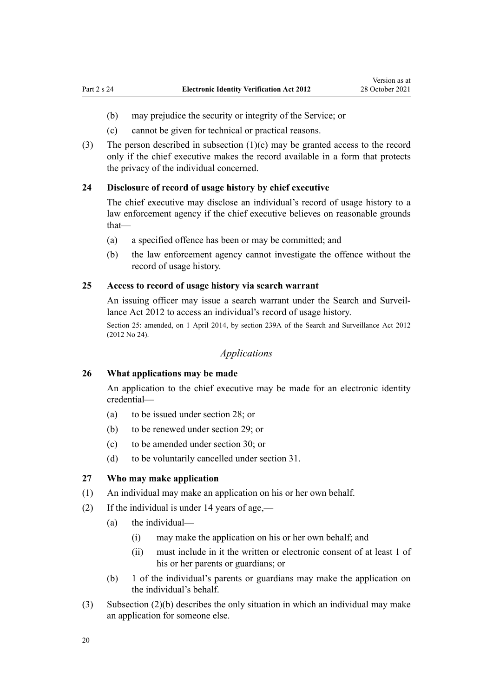- <span id="page-19-0"></span>(b) may prejudice the security or integrity of the Service; or
- (c) cannot be given for technical or practical reasons.
- (3) The person described in subsection  $(1)(c)$  may be granted access to the record only if the chief executive makes the record available in a form that protects the privacy of the individual concerned.

#### **24 Disclosure of record of usage history by chief executive**

The chief executive may disclose an individual's record of usage history to a law enforcement agency if the chief executive believes on reasonable grounds that—

- (a) a specified offence has been or may be committed; and
- (b) the law enforcement agency cannot investigate the offence without the record of usage history.

# **25 Access to record of usage history via search warrant**

An issuing officer may issue a search warrant under the Search and Surveil[lance Act 2012](http://legislation.govt.nz/pdflink.aspx?id=DLM2136500) to access an individual's record of usage history.

Section 25: amended, on 1 April 2014, by [section 239A](http://legislation.govt.nz/pdflink.aspx?id=DLM5135123) of the Search and Surveillance Act 2012 (2012 No 24).

# *Applications*

#### **26 What applications may be made**

An application to the chief executive may be made for an electronic identity credential—

- (a) to be issued under [section 28](#page-20-0); or
- (b) to be renewed under [section 29;](#page-21-0) or
- (c) to be amended under [section 30](#page-21-0); or
- (d) to be voluntarily cancelled under [section 31](#page-22-0).

## **27 Who may make application**

- (1) An individual may make an application on his or her own behalf.
- (2) If the individual is under 14 years of age,—
	- (a) the individual—
		- (i) may make the application on his or her own behalf; and
		- (ii) must include in it the written or electronic consent of at least 1 of his or her parents or guardians; or
	- (b) 1 of the individual's parents or guardians may make the application on the individual's behalf.
- (3) Subsection (2)(b) describes the only situation in which an individual may make an application for someone else.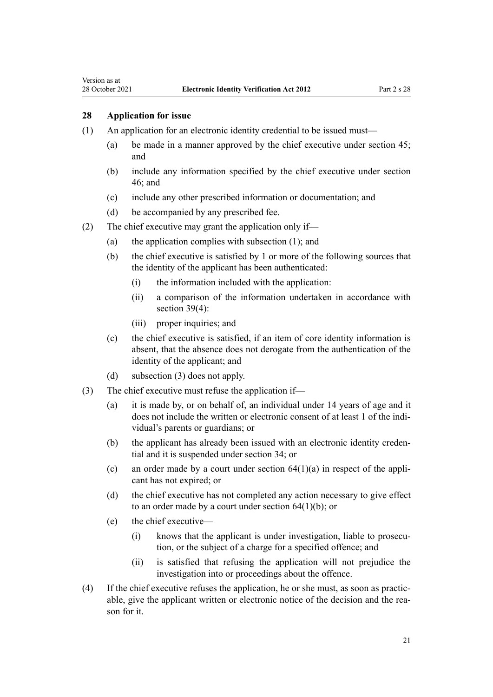# **28 Application for issue**

<span id="page-20-0"></span>Version as at

- (1) An application for an electronic identity credential to be issued must—
	- (a) be made in a manner approved by the chief executive under [section 45;](#page-28-0) and
	- (b) include any information specified by the chief executive under [section](#page-29-0) [46;](#page-29-0) and
	- (c) include any other prescribed information or documentation; and
	- (d) be accompanied by any prescribed fee.
- (2) The chief executive may grant the application only if—
	- (a) the application complies with subsection (1); and
	- (b) the chief executive is satisfied by 1 or more of the following sources that the identity of the applicant has been authenticated:
		- (i) the information included with the application:
		- (ii) a comparison of the information undertaken in accordance with [section 39\(4\):](#page-26-0)
		- (iii) proper inquiries; and
	- (c) the chief executive is satisfied, if an item of core identity information is absent, that the absence does not derogate from the authentication of the identity of the applicant; and
	- (d) subsection (3) does not apply.
- (3) The chief executive must refuse the application if—
	- (a) it is made by, or on behalf of, an individual under 14 years of age and it does not include the written or electronic consent of at least 1 of the individual's parents or guardians; or
	- (b) the applicant has already been issued with an electronic identity credential and it is suspended under [section 34;](#page-24-0) or
	- (c) an order made by a court under section  $64(1)(a)$  in respect of the applicant has not expired; or
	- (d) the chief executive has not completed any action necessary to give effect to an order made by a court under section  $64(1)(b)$ ; or
	- (e) the chief executive—
		- (i) knows that the applicant is under investigation, liable to prosecu‐ tion, or the subject of a charge for a specified offence; and
		- (ii) is satisfied that refusing the application will not prejudice the investigation into or proceedings about the offence.
- (4) If the chief executive refuses the application, he or she must, as soon as practic‐ able, give the applicant written or electronic notice of the decision and the reason for it.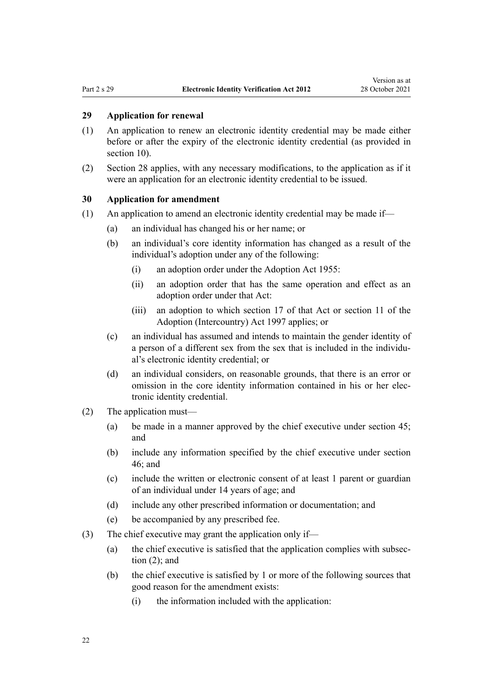# <span id="page-21-0"></span>**29 Application for renewal**

- (1) An application to renew an electronic identity credential may be made either before or after the expiry of the electronic identity credential (as provided in [section 10](#page-11-0)).
- (2) [Section 28](#page-20-0) applies, with any necessary modifications, to the application as if it were an application for an electronic identity credential to be issued.

## **30 Application for amendment**

- $(1)$  An application to amend an electronic identity credential may be made if—
	- (a) an individual has changed his or her name; or
	- (b) an individual's core identity information has changed as a result of the individual's adoption under any of the following:
		- (i) an adoption order under the [Adoption Act 1955:](http://legislation.govt.nz/pdflink.aspx?id=DLM292660)
		- (ii) an adoption order that has the same operation and effect as an adoption order under that Act:
		- (iii) an adoption to which [section 17](http://legislation.govt.nz/pdflink.aspx?id=DLM293196) of that Act or [section 11](http://legislation.govt.nz/pdflink.aspx?id=DLM423030) of the Adoption (Intercountry) Act 1997 applies; or
	- (c) an individual has assumed and intends to maintain the gender identity of a person of a different sex from the sex that is included in the individu‐ al's electronic identity credential; or
	- (d) an individual considers, on reasonable grounds, that there is an error or omission in the core identity information contained in his or her elec‐ tronic identity credential.
- (2) The application must—
	- (a) be made in a manner approved by the chief executive under [section 45;](#page-28-0) and
	- (b) include any information specified by the chief executive under [section](#page-29-0) [46;](#page-29-0) and
	- (c) include the written or electronic consent of at least 1 parent or guardian of an individual under 14 years of age; and
	- (d) include any other prescribed information or documentation; and
	- (e) be accompanied by any prescribed fee.
- (3) The chief executive may grant the application only if—
	- (a) the chief executive is satisfied that the application complies with subsec‐ tion (2); and
	- (b) the chief executive is satisfied by 1 or more of the following sources that good reason for the amendment exists:
		- (i) the information included with the application: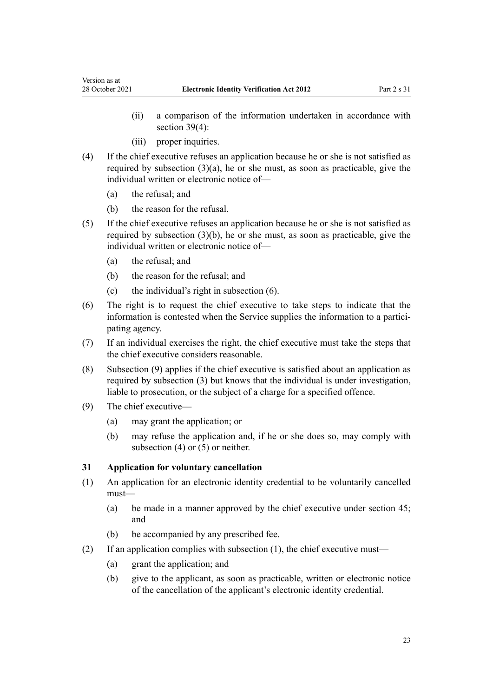- (ii) a comparison of the information undertaken in accordance with [section 39\(4\):](#page-26-0)
- (iii) proper inquiries.
- (4) If the chief executive refuses an application because he or she is not satisfied as required by subsection  $(3)(a)$ , he or she must, as soon as practicable, give the individual written or electronic notice of—
	- (a) the refusal; and

<span id="page-22-0"></span>Version as at

- (b) the reason for the refusal.
- (5) If the chief executive refuses an application because he or she is not satisfied as required by subsection (3)(b), he or she must, as soon as practicable, give the individual written or electronic notice of—
	- (a) the refusal; and
	- (b) the reason for the refusal; and
	- (c) the individual's right in subsection (6).
- (6) The right is to request the chief executive to take steps to indicate that the information is contested when the Service supplies the information to a participating agency.
- (7) If an individual exercises the right, the chief executive must take the steps that the chief executive considers reasonable.
- (8) Subsection (9) applies if the chief executive is satisfied about an application as required by subsection (3) but knows that the individual is under investigation, liable to prosecution, or the subject of a charge for a specified offence.
- (9) The chief executive—
	- (a) may grant the application; or
	- (b) may refuse the application and, if he or she does so, may comply with subsection (4) or (5) or neither.

#### **31 Application for voluntary cancellation**

- (1) An application for an electronic identity credential to be voluntarily cancelled must—
	- (a) be made in a manner approved by the chief executive under [section 45;](#page-28-0) and
	- (b) be accompanied by any prescribed fee.
- (2) If an application complies with subsection (1), the chief executive must—
	- (a) grant the application; and
	- (b) give to the applicant, as soon as practicable, written or electronic notice of the cancellation of the applicant's electronic identity credential.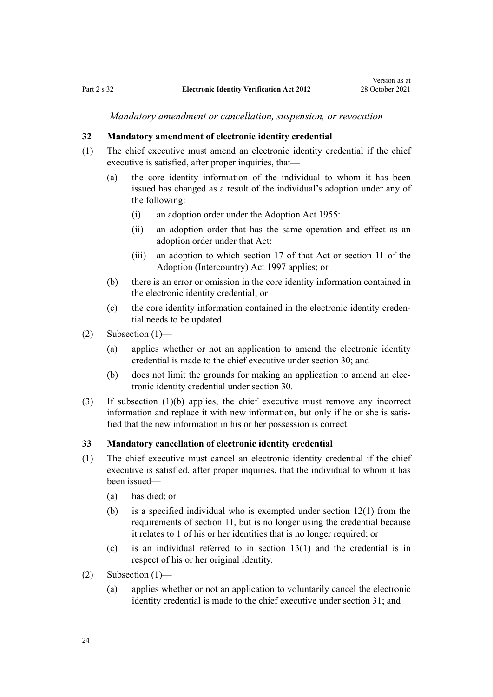*Mandatory amendment or cancellation, suspension, or revocation*

#### <span id="page-23-0"></span>**32 Mandatory amendment of electronic identity credential**

- (1) The chief executive must amend an electronic identity credential if the chief executive is satisfied, after proper inquiries, that—
	- (a) the core identity information of the individual to whom it has been issued has changed as a result of the individual's adoption under any of the following:
		- (i) an adoption order under the [Adoption Act 1955:](http://legislation.govt.nz/pdflink.aspx?id=DLM292660)
		- (ii) an adoption order that has the same operation and effect as an adoption order under that Act:
		- (iii) an adoption to which [section 17](http://legislation.govt.nz/pdflink.aspx?id=DLM293196) of that Act or [section 11](http://legislation.govt.nz/pdflink.aspx?id=DLM423030) of the Adoption (Intercountry) Act 1997 applies; or
	- (b) there is an error or omission in the core identity information contained in the electronic identity credential; or
	- (c) the core identity information contained in the electronic identity creden‐ tial needs to be updated.
- (2) Subsection (1)—
	- (a) applies whether or not an application to amend the electronic identity credential is made to the chief executive under [section 30](#page-21-0); and
	- (b) does not limit the grounds for making an application to amend an elec‐ tronic identity credential under [section 30](#page-21-0).
- (3) If subsection (1)(b) applies, the chief executive must remove any incorrect information and replace it with new information, but only if he or she is satisfied that the new information in his or her possession is correct.

#### **33 Mandatory cancellation of electronic identity credential**

- (1) The chief executive must cancel an electronic identity credential if the chief executive is satisfied, after proper inquiries, that the individual to whom it has been issued—
	- (a) has died; or
	- (b) is a specified individual who is exempted under [section 12\(1\)](#page-12-0) from the requirements of [section 11,](#page-12-0) but is no longer using the credential because it relates to 1 of his or her identities that is no longer required; or
	- (c) is an individual referred to in [section 13\(1\)](#page-13-0) and the credential is in respect of his or her original identity.
- (2) Subsection  $(1)$ 
	- (a) applies whether or not an application to voluntarily cancel the electronic identity credential is made to the chief executive under [section 31](#page-22-0); and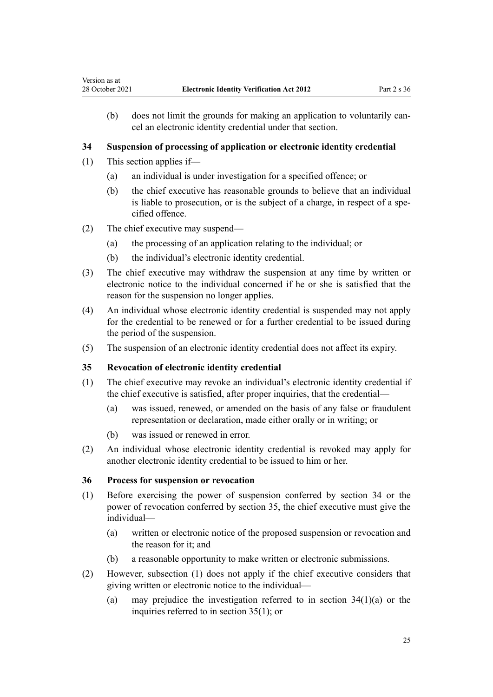(b) does not limit the grounds for making an application to voluntarily cancel an electronic identity credential under that section.

# **34 Suspension of processing of application or electronic identity credential**

(1) This section applies if—

<span id="page-24-0"></span>Version as at

- (a) an individual is under investigation for a specified offence; or
- (b) the chief executive has reasonable grounds to believe that an individual is liable to prosecution, or is the subject of a charge, in respect of a specified offence.
- (2) The chief executive may suspend—
	- (a) the processing of an application relating to the individual; or
	- (b) the individual's electronic identity credential.
- (3) The chief executive may withdraw the suspension at any time by written or electronic notice to the individual concerned if he or she is satisfied that the reason for the suspension no longer applies.
- (4) An individual whose electronic identity credential is suspended may not apply for the credential to be renewed or for a further credential to be issued during the period of the suspension.
- (5) The suspension of an electronic identity credential does not affect its expiry.

#### **35 Revocation of electronic identity credential**

- (1) The chief executive may revoke an individual's electronic identity credential if the chief executive is satisfied, after proper inquiries, that the credential—
	- (a) was issued, renewed, or amended on the basis of any false or fraudulent representation or declaration, made either orally or in writing; or
	- (b) was issued or renewed in error.
- (2) An individual whose electronic identity credential is revoked may apply for another electronic identity credential to be issued to him or her.

### **36 Process for suspension or revocation**

- (1) Before exercising the power of suspension conferred by section 34 or the power of revocation conferred by section 35, the chief executive must give the individual—
	- (a) written or electronic notice of the proposed suspension or revocation and the reason for it; and
	- (b) a reasonable opportunity to make written or electronic submissions.
- (2) However, subsection (1) does not apply if the chief executive considers that giving written or electronic notice to the individual—
	- (a) may prejudice the investigation referred to in section  $34(1)(a)$  or the inquiries referred to in section 35(1); or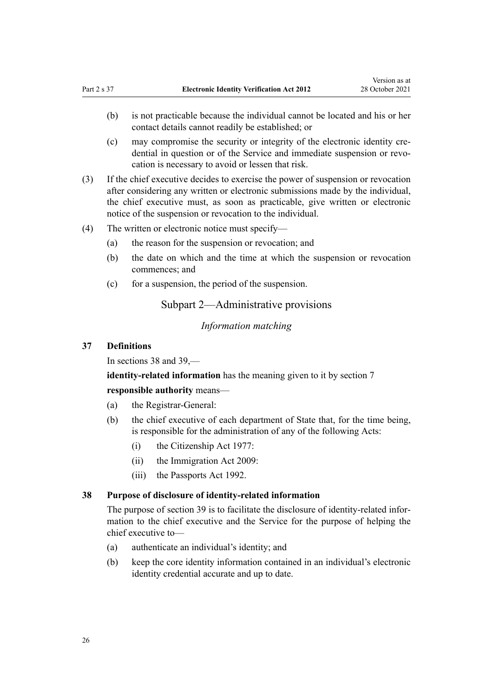- <span id="page-25-0"></span>(b) is not practicable because the individual cannot be located and his or her contact details cannot readily be established; or
- (c) may compromise the security or integrity of the electronic identity cre‐ dential in question or of the Service and immediate suspension or revocation is necessary to avoid or lessen that risk.
- (3) If the chief executive decides to exercise the power of suspension or revocation after considering any written or electronic submissions made by the individual, the chief executive must, as soon as practicable, give written or electronic notice of the suspension or revocation to the individual.
- (4) The written or electronic notice must specify—
	- (a) the reason for the suspension or revocation; and
	- (b) the date on which and the time at which the suspension or revocation commences; and
	- (c) for a suspension, the period of the suspension.

Subpart 2—Administrative provisions

*Information matching*

#### **37 Definitions**

In sections 38 and [39,](#page-26-0)—

**identity-related information** has the meaning given to it by [section 7](#page-6-0)

**responsible authority** means—

- (a) the Registrar-General:
- (b) the chief executive of each department of State that, for the time being, is responsible for the administration of any of the following Acts:
	- (i) the [Citizenship Act 1977:](http://legislation.govt.nz/pdflink.aspx?id=DLM443683)
	- (ii) the [Immigration Act 2009:](http://legislation.govt.nz/pdflink.aspx?id=DLM1440300)
	- (iii) the [Passports Act 1992.](http://legislation.govt.nz/pdflink.aspx?id=DLM277432)

#### **38 Purpose of disclosure of identity-related information**

The purpose of [section 39](#page-26-0) is to facilitate the disclosure of identity-related information to the chief executive and the Service for the purpose of helping the chief executive to—

- (a) authenticate an individual's identity; and
- (b) keep the core identity information contained in an individual's electronic identity credential accurate and up to date.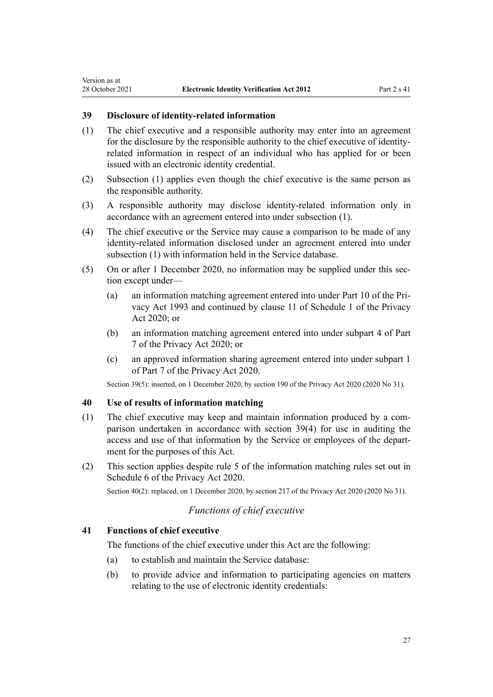# **39 Disclosure of identity-related information**

<span id="page-26-0"></span>Version as at

- (1) The chief executive and a responsible authority may enter into an agreement for the disclosure by the responsible authority to the chief executive of identityrelated information in respect of an individual who has applied for or been issued with an electronic identity credential.
- (2) Subsection (1) applies even though the chief executive is the same person as the responsible authority.
- (3) A responsible authority may disclose identity-related information only in accordance with an agreement entered into under subsection (1).
- (4) The chief executive or the Service may cause a comparison to be made of any identity-related information disclosed under an agreement entered into under subsection (1) with information held in the Service database.
- (5) On or after 1 December 2020, no information may be supplied under this sec‐ tion except under—
	- (a) an information matching agreement entered into under [Part 10](http://legislation.govt.nz/pdflink.aspx?id=DLM297914) of the Pri‐ vacy Act 1993 and continued by [clause 11](http://legislation.govt.nz/pdflink.aspx?id=LMS261719) of Schedule 1 of the Privacy Act 2020; or
	- (b) an information matching agreement entered into under [subpart 4](http://legislation.govt.nz/pdflink.aspx?id=LMS23666) of Part 7 of the Privacy Act 2020; or
	- (c) an approved information sharing agreement entered into under [subpart 1](http://legislation.govt.nz/pdflink.aspx?id=LMS23595) of Part 7 of the Privacy Act 2020.

Section 39(5): inserted, on 1 December 2020, by [section 190](http://legislation.govt.nz/pdflink.aspx?id=LMS23664) of the Privacy Act 2020 (2020 No 31).

#### **40 Use of results of information matching**

- (1) The chief executive may keep and maintain information produced by a comparison undertaken in accordance with section 39(4) for use in auditing the access and use of that information by the Service or employees of the depart‐ ment for the purposes of this Act.
- (2) This section applies despite rule 5 of the information matching rules set out in [Schedule 6](http://legislation.govt.nz/pdflink.aspx?id=LMS23760) of the Privacy Act 2020.

Section 40(2): replaced, on 1 December 2020, by [section 217](http://legislation.govt.nz/pdflink.aspx?id=LMS23706) of the Privacy Act 2020 (2020 No 31).

# *Functions of chief executive*

## **41 Functions of chief executive**

The functions of the chief executive under this Act are the following:

- (a) to establish and maintain the Service database:
- (b) to provide advice and information to participating agencies on matters relating to the use of electronic identity credentials: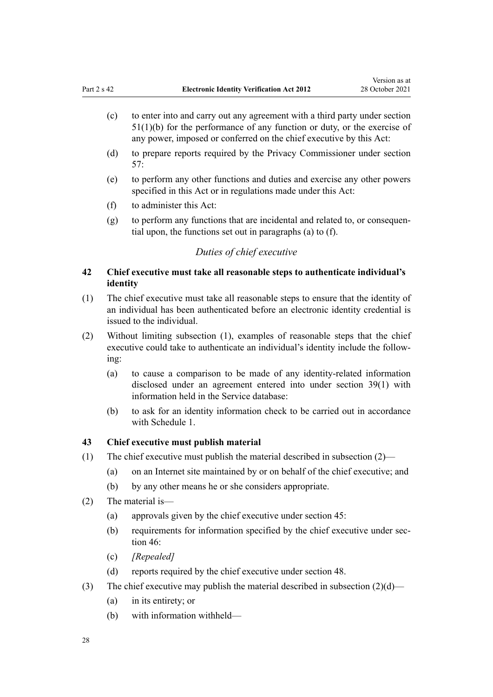- <span id="page-27-0"></span>(c) to enter into and carry out any agreement with a third party under [section](#page-33-0) [51\(1\)\(b\)](#page-33-0) for the performance of any function or duty, or the exercise of any power, imposed or conferred on the chief executive by this Act:
- (d) to prepare reports required by the Privacy Commissioner under [section](#page-36-0) [57:](#page-36-0)
- (e) to perform any other functions and duties and exercise any other powers specified in this Act or in regulations made under this Act:
- (f) to administer this Act:
- $(g)$  to perform any functions that are incidental and related to, or consequential upon, the functions set out in paragraphs (a) to (f).

# *Duties of chief executive*

# **42 Chief executive must take all reasonable steps to authenticate individual's identity**

- (1) The chief executive must take all reasonable steps to ensure that the identity of an individual has been authenticated before an electronic identity credential is issued to the individual.
- (2) Without limiting subsection (1), examples of reasonable steps that the chief executive could take to authenticate an individual's identity include the following:
	- (a) to cause a comparison to be made of any identity-related information disclosed under an agreement entered into under [section 39\(1\)](#page-26-0) with information held in the Service database:
	- (b) to ask for an identity information check to be carried out in accordance with [Schedule 1](#page-50-0).

## **43 Chief executive must publish material**

- (1) The chief executive must publish the material described in subsection (2)—
	- (a) on an Internet site maintained by or on behalf of the chief executive; and
	- (b) by any other means he or she considers appropriate.
- (2) The material is—
	- (a) approvals given by the chief executive under [section 45](#page-28-0):
	- (b) requirements for information specified by the chief executive under sec[tion 46](#page-29-0):
	- (c) *[Repealed]*
	- (d) reports required by the chief executive under [section 48](#page-30-0).
- (3) The chief executive may publish the material described in subsection  $(2)(d)$ 
	- (a) in its entirety; or
	- (b) with information withheld—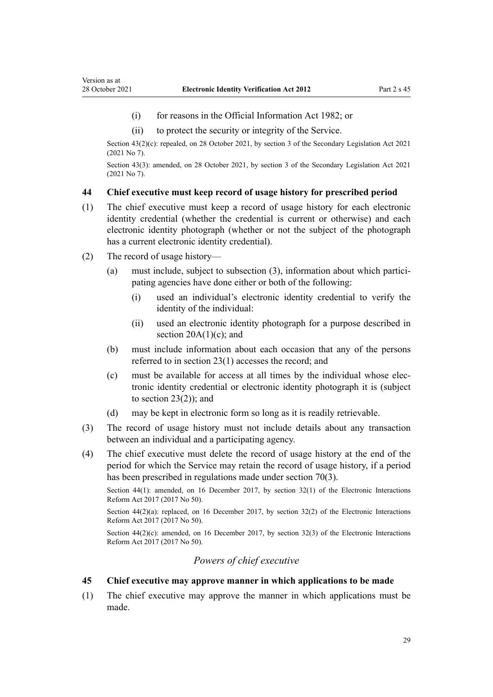- <span id="page-28-0"></span>(i) for reasons in the [Official Information Act 1982](http://legislation.govt.nz/pdflink.aspx?id=DLM64784); or
- (ii) to protect the security or integrity of the Service.

Section 43(2)(c): repealed, on 28 October 2021, by [section 3](http://legislation.govt.nz/pdflink.aspx?id=LMS268932) of the Secondary Legislation Act 2021 (2021 No 7).

Section 43(3): amended, on 28 October 2021, by [section 3](http://legislation.govt.nz/pdflink.aspx?id=LMS268932) of the Secondary Legislation Act 2021 (2021 No 7).

#### **44 Chief executive must keep record of usage history for prescribed period**

- (1) The chief executive must keep a record of usage history for each electronic identity credential (whether the credential is current or otherwise) and each electronic identity photograph (whether or not the subject of the photograph has a current electronic identity credential).
- (2) The record of usage history—
	- (a) must include, subject to subsection  $(3)$ , information about which participating agencies have done either or both of the following:
		- (i) used an individual's electronic identity credential to verify the identity of the individual:
		- (ii) used an electronic identity photograph for a purpose described in section  $20A(1)(c)$ ; and
	- (b) must include information about each occasion that any of the persons referred to in [section 23\(1\)](#page-18-0) accesses the record; and
	- (c) must be available for access at all times by the individual whose elec‐ tronic identity credential or electronic identity photograph it is (subject to section  $23(2)$ ; and
	- (d) may be kept in electronic form so long as it is readily retrievable.
- (3) The record of usage history must not include details about any transaction between an individual and a participating agency.
- (4) The chief executive must delete the record of usage history at the end of the period for which the Service may retain the record of usage history, if a period has been prescribed in regulations made under [section 70\(3\).](#page-44-0)

Section 44(1): amended, on 16 December 2017, by [section 32\(1\)](http://legislation.govt.nz/pdflink.aspx?id=DLM6962165) of the Electronic Interactions Reform Act 2017 (2017 No 50).

Section  $44(2)(a)$ : replaced, on 16 December 2017, by section  $32(2)$  of the Electronic Interactions Reform Act 2017 (2017 No 50).

Section  $44(2)(c)$ : amended, on 16 December 2017, by [section 32\(3\)](http://legislation.govt.nz/pdflink.aspx?id=DLM6962165) of the Electronic Interactions Reform Act 2017 (2017 No 50).

# *Powers of chief executive*

#### **45 Chief executive may approve manner in which applications to be made**

(1) The chief executive may approve the manner in which applications must be made.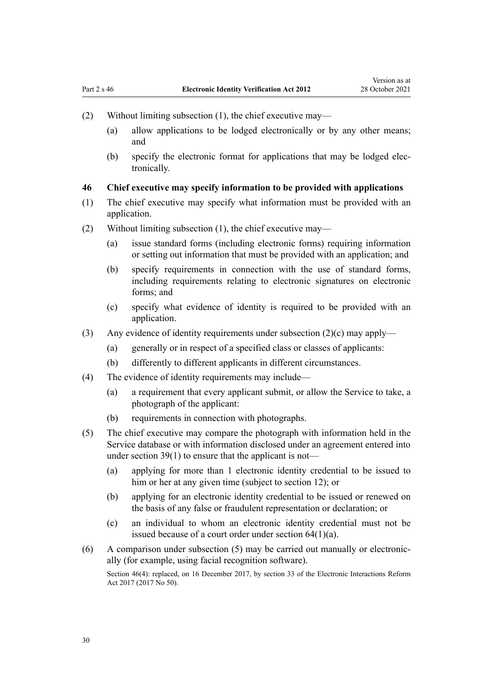- <span id="page-29-0"></span>(2) Without limiting subsection (1), the chief executive may—
	- (a) allow applications to be lodged electronically or by any other means; and
	- (b) specify the electronic format for applications that may be lodged elec‐ tronically.

# **46 Chief executive may specify information to be provided with applications**

- (1) The chief executive may specify what information must be provided with an application.
- (2) Without limiting subsection (1), the chief executive may—
	- (a) issue standard forms (including electronic forms) requiring information or setting out information that must be provided with an application; and
	- (b) specify requirements in connection with the use of standard forms, including requirements relating to electronic signatures on electronic forms; and
	- (c) specify what evidence of identity is required to be provided with an application.
- (3) Any evidence of identity requirements under subsection (2)(c) may apply—
	- (a) generally or in respect of a specified class or classes of applicants:
	- (b) differently to different applicants in different circumstances.
- (4) The evidence of identity requirements may include—
	- (a) a requirement that every applicant submit, or allow the Service to take, a photograph of the applicant:
	- (b) requirements in connection with photographs.
- (5) The chief executive may compare the photograph with information held in the Service database or with information disclosed under an agreement entered into under [section 39\(1\)](#page-26-0) to ensure that the applicant is not—
	- (a) applying for more than 1 electronic identity credential to be issued to him or her at any given time (subject to [section 12](#page-12-0)); or
	- (b) applying for an electronic identity credential to be issued or renewed on the basis of any false or fraudulent representation or declaration; or
	- (c) an individual to whom an electronic identity credential must not be issued because of a court order under [section 64\(1\)\(a\)](#page-40-0).
- $(6)$  A comparison under subsection  $(5)$  may be carried out manually or electronically (for example, using facial recognition software).

Section 46(4): replaced, on 16 December 2017, by [section 33](http://legislation.govt.nz/pdflink.aspx?id=DLM7509100) of the Electronic Interactions Reform Act 2017 (2017 No 50).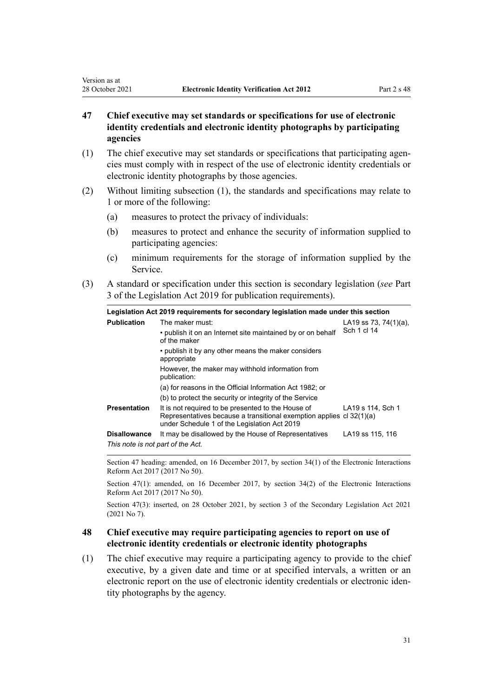# <span id="page-30-0"></span>**47 Chief executive may set standards or specifications for use of electronic identity credentials and electronic identity photographs by participating agencies**

- (1) The chief executive may set standards or specifications that participating agen‐ cies must comply with in respect of the use of electronic identity credentials or electronic identity photographs by those agencies.
- (2) Without limiting subsection (1), the standards and specifications may relate to 1 or more of the following:
	- (a) measures to protect the privacy of individuals:
	- (b) measures to protect and enhance the security of information supplied to participating agencies:
	- (c) minimum requirements for the storage of information supplied by the Service.
- (3) A standard or specification under this section is secondary legislation (*see* [Part](http://legislation.govt.nz/pdflink.aspx?id=DLM7298343) [3](http://legislation.govt.nz/pdflink.aspx?id=DLM7298343) of the Legislation Act 2019 for publication requirements).

| Legislation Act 2019 requirements for secondary legislation made under this section |                                                                                                                                                                            |                           |  |
|-------------------------------------------------------------------------------------|----------------------------------------------------------------------------------------------------------------------------------------------------------------------------|---------------------------|--|
| <b>Publication</b>                                                                  | The maker must:                                                                                                                                                            | LA19 ss 73, 74 $(1)(a)$ , |  |
|                                                                                     | • publish it on an Internet site maintained by or on behalf<br>of the maker                                                                                                | Sch 1 cl 14               |  |
|                                                                                     | • publish it by any other means the maker considers<br>appropriate                                                                                                         |                           |  |
|                                                                                     | However, the maker may withhold information from<br>publication:                                                                                                           |                           |  |
|                                                                                     | (a) for reasons in the Official Information Act 1982; or                                                                                                                   |                           |  |
|                                                                                     | (b) to protect the security or integrity of the Service                                                                                                                    |                           |  |
| <b>Presentation</b>                                                                 | It is not required to be presented to the House of<br>Representatives because a transitional exemption applies cl 32(1)(a)<br>under Schedule 1 of the Legislation Act 2019 | LA19 s 114, Sch 1         |  |
| <b>Disallowance</b>                                                                 | It may be disallowed by the House of Representatives                                                                                                                       | LA19 ss 115, 116          |  |
| This note is not part of the Act.                                                   |                                                                                                                                                                            |                           |  |

Section 47 heading: amended, on 16 December 2017, by [section 34\(1\)](http://legislation.govt.nz/pdflink.aspx?id=DLM6962166) of the Electronic Interactions Reform Act 2017 (2017 No 50).

Section 47(1): amended, on 16 December 2017, by [section 34\(2\)](http://legislation.govt.nz/pdflink.aspx?id=DLM6962166) of the Electronic Interactions Reform Act 2017 (2017 No 50).

Section 47(3): inserted, on 28 October 2021, by [section 3](http://legislation.govt.nz/pdflink.aspx?id=LMS268932) of the Secondary Legislation Act 2021 (2021 No 7).

## **48 Chief executive may require participating agencies to report on use of electronic identity credentials or electronic identity photographs**

(1) The chief executive may require a participating agency to provide to the chief executive, by a given date and time or at specified intervals, a written or an electronic report on the use of electronic identity credentials or electronic identity photographs by the agency.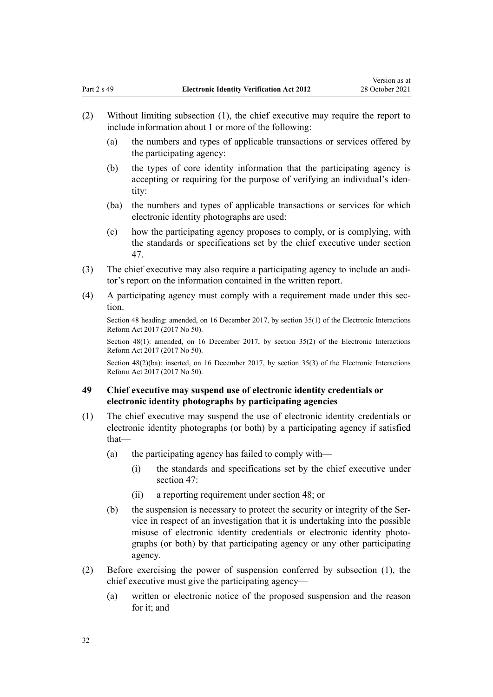- <span id="page-31-0"></span>(2) Without limiting subsection (1), the chief executive may require the report to include information about 1 or more of the following:
	- (a) the numbers and types of applicable transactions or services offered by the participating agency:
	- (b) the types of core identity information that the participating agency is accepting or requiring for the purpose of verifying an individual's iden‐ tity:
	- (ba) the numbers and types of applicable transactions or services for which electronic identity photographs are used:
	- (c) how the participating agency proposes to comply, or is complying, with the standards or specifications set by the chief executive under [section](#page-30-0) [47.](#page-30-0)
- (3) The chief executive may also require a participating agency to include an audi‐ tor's report on the information contained in the written report.
- (4) A participating agency must comply with a requirement made under this section.

Section 48 heading: amended, on 16 December 2017, by [section 35\(1\)](http://legislation.govt.nz/pdflink.aspx?id=DLM6962167) of the Electronic Interactions Reform Act 2017 (2017 No 50).

Section 48(1): amended, on 16 December 2017, by [section 35\(2\)](http://legislation.govt.nz/pdflink.aspx?id=DLM6962167) of the Electronic Interactions Reform Act 2017 (2017 No 50).

Section 48(2)(ba): inserted, on 16 December 2017, by [section 35\(3\)](http://legislation.govt.nz/pdflink.aspx?id=DLM6962167) of the Electronic Interactions Reform Act 2017 (2017 No 50).

# **49 Chief executive may suspend use of electronic identity credentials or electronic identity photographs by participating agencies**

- (1) The chief executive may suspend the use of electronic identity credentials or electronic identity photographs (or both) by a participating agency if satisfied that—
	- (a) the participating agency has failed to comply with—
		- (i) the standards and specifications set by the chief executive under [section 47](#page-30-0):
		- (ii) a reporting requirement under [section 48;](#page-30-0) or
	- (b) the suspension is necessary to protect the security or integrity of the Service in respect of an investigation that it is undertaking into the possible misuse of electronic identity credentials or electronic identity photographs (or both) by that participating agency or any other participating agency.
- (2) Before exercising the power of suspension conferred by subsection (1), the chief executive must give the participating agency—
	- (a) written or electronic notice of the proposed suspension and the reason for it; and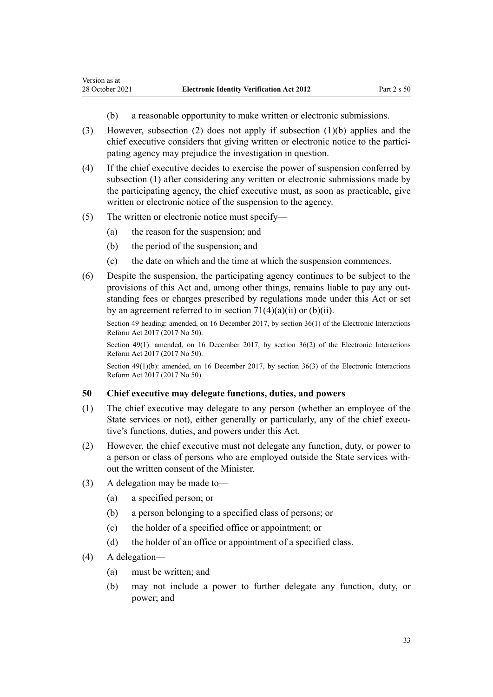- (b) a reasonable opportunity to make written or electronic submissions.
- (3) However, subsection (2) does not apply if subsection (1)(b) applies and the chief executive considers that giving written or electronic notice to the participating agency may prejudice the investigation in question.
- (4) If the chief executive decides to exercise the power of suspension conferred by subsection (1) after considering any written or electronic submissions made by the participating agency, the chief executive must, as soon as practicable, give written or electronic notice of the suspension to the agency.
- (5) The written or electronic notice must specify—

<span id="page-32-0"></span>Version as at

- (a) the reason for the suspension; and
- (b) the period of the suspension; and
- (c) the date on which and the time at which the suspension commences.
- (6) Despite the suspension, the participating agency continues to be subject to the provisions of this Act and, among other things, remains liable to pay any outstanding fees or charges prescribed by regulations made under this Act or set by an agreement referred to in section  $71(4)(a)(ii)$  or (b)(ii).

Section 49 heading: amended, on 16 December 2017, by [section 36\(1\)](http://legislation.govt.nz/pdflink.aspx?id=DLM6962168) of the Electronic Interactions Reform Act 2017 (2017 No 50).

Section 49(1): amended, on 16 December 2017, by [section 36\(2\)](http://legislation.govt.nz/pdflink.aspx?id=DLM6962168) of the Electronic Interactions Reform Act 2017 (2017 No 50).

Section 49(1)(b): amended, on 16 December 2017, by [section 36\(3\)](http://legislation.govt.nz/pdflink.aspx?id=DLM6962168) of the Electronic Interactions Reform Act 2017 (2017 No 50).

#### **50 Chief executive may delegate functions, duties, and powers**

- (1) The chief executive may delegate to any person (whether an employee of the State services or not), either generally or particularly, any of the chief executive's functions, duties, and powers under this Act.
- (2) However, the chief executive must not delegate any function, duty, or power to a person or class of persons who are employed outside the State services with‐ out the written consent of the Minister.
- (3) A delegation may be made to—
	- (a) a specified person; or
	- (b) a person belonging to a specified class of persons; or
	- (c) the holder of a specified office or appointment; or
	- (d) the holder of an office or appointment of a specified class.
- (4) A delegation—
	- (a) must be written; and
	- (b) may not include a power to further delegate any function, duty, or power; and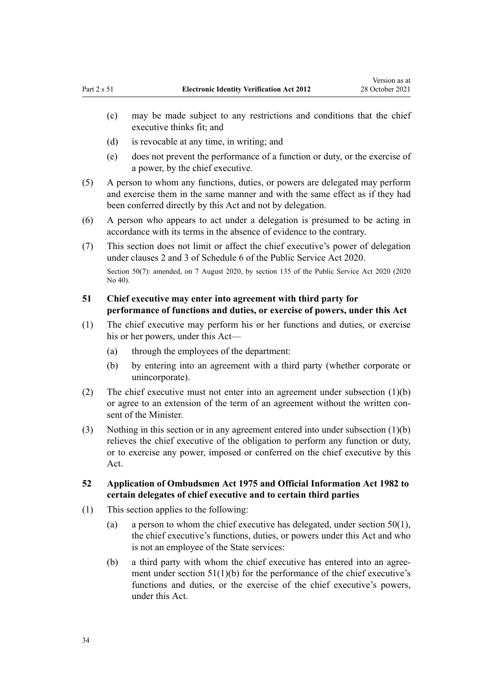- <span id="page-33-0"></span>(c) may be made subject to any restrictions and conditions that the chief executive thinks fit; and
- (d) is revocable at any time, in writing; and
- (e) does not prevent the performance of a function or duty, or the exercise of a power, by the chief executive.
- (5) A person to whom any functions, duties, or powers are delegated may perform and exercise them in the same manner and with the same effect as if they had been conferred directly by this Act and not by delegation.
- (6) A person who appears to act under a delegation is presumed to be acting in accordance with its terms in the absence of evidence to the contrary.
- (7) This section does not limit or affect the chief executive's power of delegation under [clauses 2](http://legislation.govt.nz/pdflink.aspx?id=LMS356992) and [3](http://legislation.govt.nz/pdflink.aspx?id=LMS247061) of Schedule 6 of the Public Service Act 2020.

Section 50(7): amended, on 7 August 2020, by [section 135](http://legislation.govt.nz/pdflink.aspx?id=LMS176959) of the Public Service Act 2020 (2020) No 40).

# **51 Chief executive may enter into agreement with third party for performance of functions and duties, or exercise of powers, under this Act**

- (1) The chief executive may perform his or her functions and duties, or exercise his or her powers, under this Act—
	- (a) through the employees of the department:
	- (b) by entering into an agreement with a third party (whether corporate or unincorporate).
- (2) The chief executive must not enter into an agreement under subsection (1)(b) or agree to an extension of the term of an agreement without the written consent of the Minister.
- (3) Nothing in this section or in any agreement entered into under subsection (1)(b) relieves the chief executive of the obligation to perform any function or duty, or to exercise any power, imposed or conferred on the chief executive by this Act.
- **52 Application of Ombudsmen Act 1975 and Official Information Act 1982 to certain delegates of chief executive and to certain third parties**
- (1) This section applies to the following:
	- (a) a person to whom the chief executive has delegated, under section  $50(1)$ , the chief executive's functions, duties, or powers under this Act and who is not an employee of the State services:
	- (b) a third party with whom the chief executive has entered into an agree‐ ment under section  $51(1)(b)$  for the performance of the chief executive's functions and duties, or the exercise of the chief executive's powers, under this Act.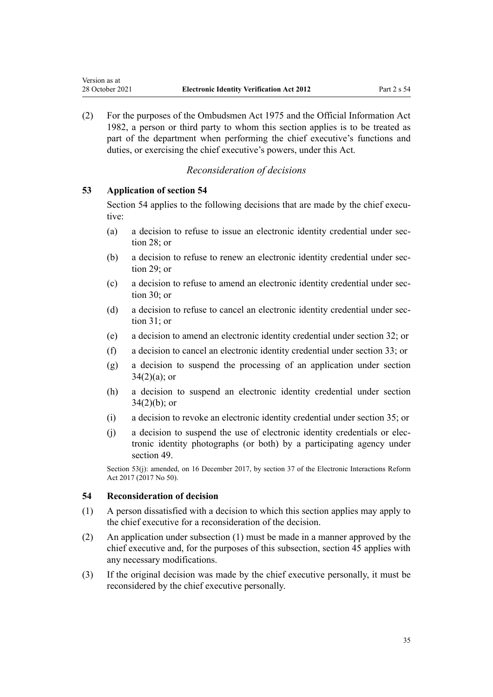(2) For the purposes of the [Ombudsmen Act 1975](http://legislation.govt.nz/pdflink.aspx?id=DLM430983) and the [Official Information Act](http://legislation.govt.nz/pdflink.aspx?id=DLM64784) [1982](http://legislation.govt.nz/pdflink.aspx?id=DLM64784), a person or third party to whom this section applies is to be treated as part of the department when performing the chief executive's functions and duties, or exercising the chief executive's powers, under this Act.

# *Reconsideration of decisions*

#### **53 Application of section 54**

<span id="page-34-0"></span>Version as at

Section 54 applies to the following decisions that are made by the chief executive:

- (a) a decision to refuse to issue an electronic identity credential under [sec‐](#page-20-0) [tion 28](#page-20-0); or
- (b) a decision to refuse to renew an electronic identity credential under [sec‐](#page-21-0) [tion 29](#page-21-0); or
- (c) a decision to refuse to amend an electronic identity credential under [sec‐](#page-21-0) [tion 30](#page-21-0); or
- (d) a decision to refuse to cancel an electronic identity credential under sec[tion 31](#page-22-0); or
- (e) a decision to amend an electronic identity credential under [section 32;](#page-23-0) or
- (f) a decision to cancel an electronic identity credential under [section 33;](#page-23-0) or
- (g) a decision to suspend the processing of an application under [section](#page-24-0)  $34(2)(a)$ ; or
- (h) a decision to suspend an electronic identity credential under [section](#page-24-0)  $34(2)(b)$ ; or
- (i) a decision to revoke an electronic identity credential under [section 35;](#page-24-0) or
- (j) a decision to suspend the use of electronic identity credentials or elec‐ tronic identity photographs (or both) by a participating agency under [section 49](#page-31-0).

Section 53(j): amended, on 16 December 2017, by [section 37](http://legislation.govt.nz/pdflink.aspx?id=DLM6962169) of the Electronic Interactions Reform Act 2017 (2017 No 50).

#### **54 Reconsideration of decision**

- (1) A person dissatisfied with a decision to which this section applies may apply to the chief executive for a reconsideration of the decision.
- (2) An application under subsection (1) must be made in a manner approved by the chief executive and, for the purposes of this subsection, [section 45](#page-28-0) applies with any necessary modifications.
- (3) If the original decision was made by the chief executive personally, it must be reconsidered by the chief executive personally.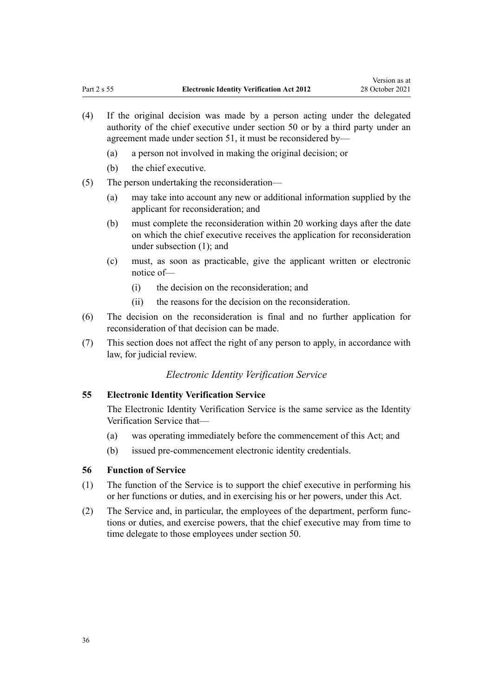- <span id="page-35-0"></span>(4) If the original decision was made by a person acting under the delegated authority of the chief executive under [section 50](#page-32-0) or by a third party under an agreement made under [section 51,](#page-33-0) it must be reconsidered by—
	- (a) a person not involved in making the original decision; or
	- (b) the chief executive.
- (5) The person undertaking the reconsideration—
	- (a) may take into account any new or additional information supplied by the applicant for reconsideration; and
	- (b) must complete the reconsideration within 20 working days after the date on which the chief executive receives the application for reconsideration under subsection (1); and
	- (c) must, as soon as practicable, give the applicant written or electronic notice of—
		- (i) the decision on the reconsideration; and
		- (ii) the reasons for the decision on the reconsideration.
- (6) The decision on the reconsideration is final and no further application for reconsideration of that decision can be made.
- (7) This section does not affect the right of any person to apply, in accordance with law, for judicial review.

#### *Electronic Identity Verification Service*

#### **55 Electronic Identity Verification Service**

The Electronic Identity Verification Service is the same service as the Identity Verification Service that—

- (a) was operating immediately before the commencement of this Act; and
- (b) issued pre-commencement electronic identity credentials.

#### **56 Function of Service**

- (1) The function of the Service is to support the chief executive in performing his or her functions or duties, and in exercising his or her powers, under this Act.
- (2) The Service and, in particular, the employees of the department, perform func‐ tions or duties, and exercise powers, that the chief executive may from time to time delegate to those employees under [section 50.](#page-32-0)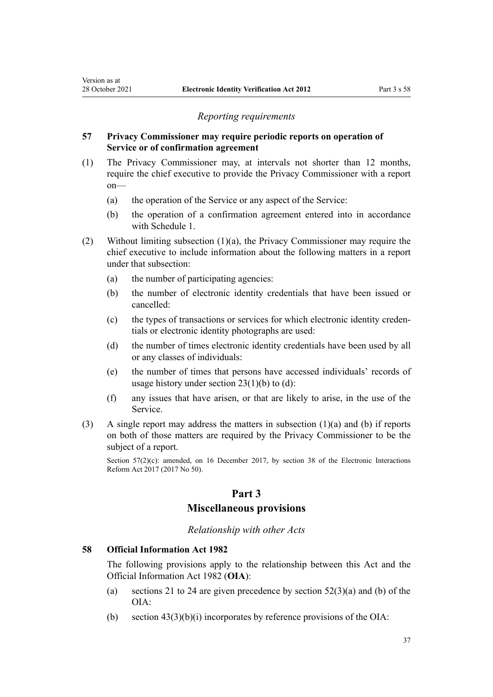<span id="page-36-0"></span>Version as at

#### *Reporting requirements*

## **57 Privacy Commissioner may require periodic reports on operation of Service or of confirmation agreement**

- (1) The Privacy Commissioner may, at intervals not shorter than 12 months, require the chief executive to provide the Privacy Commissioner with a report on—
	- (a) the operation of the Service or any aspect of the Service:
	- (b) the operation of a confirmation agreement entered into in accordance with [Schedule 1](#page-50-0).
- (2) Without limiting subsection (1)(a), the Privacy Commissioner may require the chief executive to include information about the following matters in a report under that subsection:
	- (a) the number of participating agencies:
	- (b) the number of electronic identity credentials that have been issued or cancelled:
	- (c) the types of transactions or services for which electronic identity creden‐ tials or electronic identity photographs are used:
	- (d) the number of times electronic identity credentials have been used by all or any classes of individuals:
	- (e) the number of times that persons have accessed individuals' records of usage history under section  $23(1)(b)$  to (d):
	- (f) any issues that have arisen, or that are likely to arise, in the use of the Service.
- (3) A single report may address the matters in subsection (1)(a) and (b) if reports on both of those matters are required by the Privacy Commissioner to be the subject of a report.

Section  $57(2)(c)$ : amended, on 16 December 2017, by [section 38](http://legislation.govt.nz/pdflink.aspx?id=DLM6962170) of the Electronic Interactions Reform Act 2017 (2017 No 50).

#### **Part 3**

# **Miscellaneous provisions**

#### *Relationship with other Acts*

#### **58 Official Information Act 1982**

The following provisions apply to the relationship between this Act and the [Official Information Act 1982](http://legislation.govt.nz/pdflink.aspx?id=DLM64784) (**OIA**):

- (a) [sections 21 to 24](#page-17-0) are given precedence by section  $52(3)(a)$  and (b) of the OIA:
- (b) section  $43(3)(b)(i)$  incorporates by reference provisions of the OIA: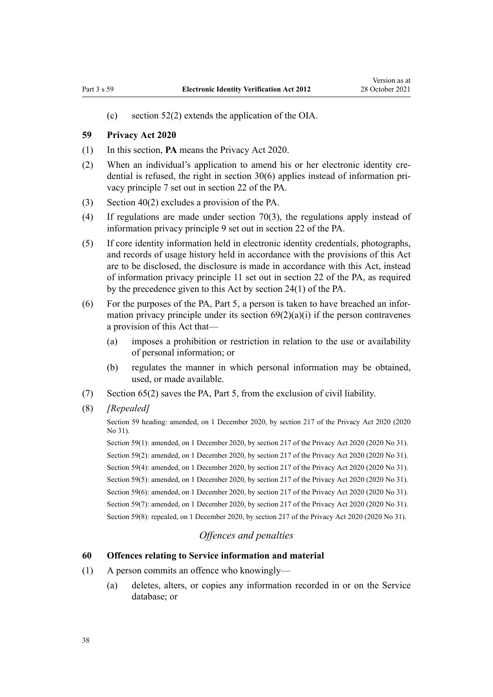<span id="page-37-0"></span>(c) [section 52\(2\)](#page-33-0) extends the application of the OIA.

#### **59 Privacy Act 2020**

- (1) In this section, **PA** means the [Privacy Act 2020](http://legislation.govt.nz/pdflink.aspx?id=LMS23193).
- (2) When an individual's application to amend his or her electronic identity cre‐ dential is refused, the right in [section 30\(6\)](#page-21-0) applies instead of information pri‐ vacy principle 7 set out in [section 22](http://legislation.govt.nz/pdflink.aspx?id=LMS23342) of the PA.
- (3) [Section 40\(2\)](#page-26-0) excludes a provision of the PA.
- (4) If regulations are made under [section 70\(3\),](#page-44-0) the regulations apply instead of information privacy principle 9 set out in [section 22](http://legislation.govt.nz/pdflink.aspx?id=LMS23342) of the PA.
- (5) If core identity information held in electronic identity credentials, photographs, and records of usage history held in accordance with the provisions of this Act are to be disclosed, the disclosure is made in accordance with this Act, instead of information privacy principle 11 set out in [section 22](http://legislation.govt.nz/pdflink.aspx?id=LMS23342) of the PA, as required by the precedence given to this Act by [section 24\(1\)](http://legislation.govt.nz/pdflink.aspx?id=LMS23345) of the PA.
- (6) For the purposes of the PA, [Part 5,](http://legislation.govt.nz/pdflink.aspx?id=LMS23492) a person is taken to have breached an infor‐ mation privacy principle under its section  $69(2)(a)(i)$  if the person contravenes a provision of this Act that—
	- (a) imposes a prohibition or restriction in relation to the use or availability of personal information; or
	- (b) regulates the manner in which personal information may be obtained, used, or made available.
- (7) [Section 65\(2\)](#page-41-0) saves the PA, [Part 5,](http://legislation.govt.nz/pdflink.aspx?id=LMS23492) from the exclusion of civil liability.
- (8) *[Repealed]*

Section 59 heading: amended, on 1 December 2020, by [section 217](http://legislation.govt.nz/pdflink.aspx?id=LMS23706) of the Privacy Act 2020 (2020 No 31).

Section 59(1): amended, on 1 December 2020, by [section 217](http://legislation.govt.nz/pdflink.aspx?id=LMS23706) of the Privacy Act 2020 (2020 No 31). Section 59(2): amended, on 1 December 2020, by [section 217](http://legislation.govt.nz/pdflink.aspx?id=LMS23706) of the Privacy Act 2020 (2020 No 31). Section 59(4): amended, on 1 December 2020, by [section 217](http://legislation.govt.nz/pdflink.aspx?id=LMS23706) of the Privacy Act 2020 (2020 No 31). Section 59(5): amended, on 1 December 2020, by [section 217](http://legislation.govt.nz/pdflink.aspx?id=LMS23706) of the Privacy Act 2020 (2020 No 31). Section 59(6): amended, on 1 December 2020, by [section 217](http://legislation.govt.nz/pdflink.aspx?id=LMS23706) of the Privacy Act 2020 (2020 No 31). Section 59(7): amended, on 1 December 2020, by [section 217](http://legislation.govt.nz/pdflink.aspx?id=LMS23706) of the Privacy Act 2020 (2020 No 31). Section 59(8): repealed, on 1 December 2020, by [section 217](http://legislation.govt.nz/pdflink.aspx?id=LMS23706) of the Privacy Act 2020 (2020 No 31).

# *Offences and penalties*

#### **60 Offences relating to Service information and material**

- (1) A person commits an offence who knowingly—
	- (a) deletes, alters, or copies any information recorded in or on the Service database; or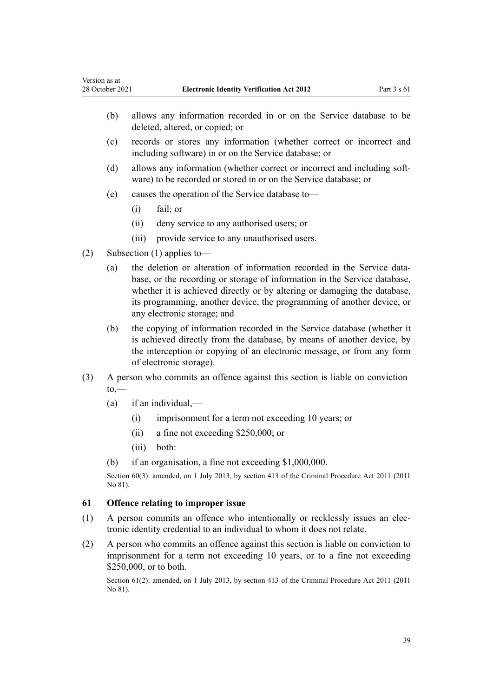- <span id="page-38-0"></span>(b) allows any information recorded in or on the Service database to be deleted, altered, or copied; or
- (c) records or stores any information (whether correct or incorrect and including software) in or on the Service database; or
- (d) allows any information (whether correct or incorrect and including soft‐ ware) to be recorded or stored in or on the Service database; or
- (e) causes the operation of the Service database to—
	- (i) fail; or
	- (ii) deny service to any authorised users; or
	- (iii) provide service to any unauthorised users.
- (2) Subsection (1) applies to—
	- (a) the deletion or alteration of information recorded in the Service database, or the recording or storage of information in the Service database, whether it is achieved directly or by altering or damaging the database, its programming, another device, the programming of another device, or any electronic storage; and
	- (b) the copying of information recorded in the Service database (whether it is achieved directly from the database, by means of another device, by the interception or copying of an electronic message, or from any form of electronic storage).
- (3) A person who commits an offence against this section is liable on conviction to,—
	- $(a)$  if an individual,—
		- (i) imprisonment for a term not exceeding 10 years; or
		- (ii) a fine not exceeding \$250,000; or
		- (iii) both:
	- (b) if an organisation, a fine not exceeding \$1,000,000.

Section 60(3): amended, on 1 July 2013, by [section 413](http://legislation.govt.nz/pdflink.aspx?id=DLM3360714) of the Criminal Procedure Act 2011 (2011 No 81).

#### **61 Offence relating to improper issue**

- (1) A person commits an offence who intentionally or recklessly issues an elec‐ tronic identity credential to an individual to whom it does not relate.
- (2) A person who commits an offence against this section is liable on conviction to imprisonment for a term not exceeding 10 years, or to a fine not exceeding \$250,000, or to both.

Section 61(2): amended, on 1 July 2013, by [section 413](http://legislation.govt.nz/pdflink.aspx?id=DLM3360714) of the Criminal Procedure Act 2011 (2011) No 81).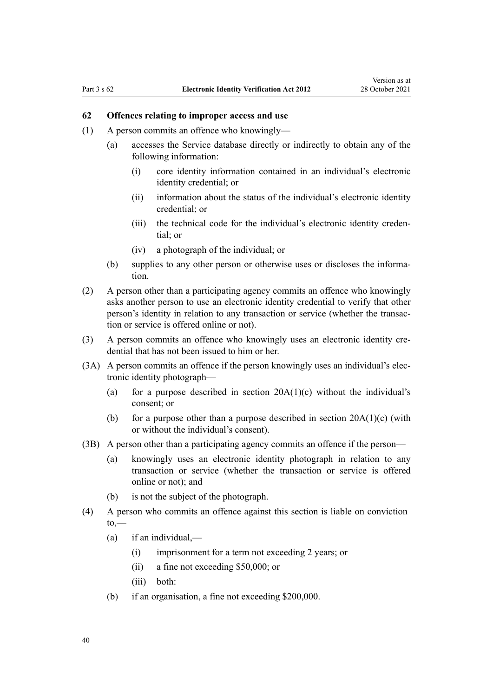# <span id="page-39-0"></span>**62 Offences relating to improper access and use**

- (1) A person commits an offence who knowingly—
	- (a) accesses the Service database directly or indirectly to obtain any of the following information:
		- (i) core identity information contained in an individual's electronic identity credential; or
		- (ii) information about the status of the individual's electronic identity credential; or
		- (iii) the technical code for the individual's electronic identity creden‐ tial; or
		- (iv) a photograph of the individual; or
	- (b) supplies to any other person or otherwise uses or discloses the information.
- (2) A person other than a participating agency commits an offence who knowingly asks another person to use an electronic identity credential to verify that other person's identity in relation to any transaction or service (whether the transaction or service is offered online or not).
- (3) A person commits an offence who knowingly uses an electronic identity credential that has not been issued to him or her.
- (3A) A person commits an offence if the person knowingly uses an individual's electronic identity photograph—
	- (a) for a purpose described in section  $20A(1)(c)$  without the individual's consent; or
	- (b) for a purpose other than a purpose described in section  $20A(1)(c)$  (with or without the individual's consent).
- (3B) A person other than a participating agency commits an offence if the person—
	- (a) knowingly uses an electronic identity photograph in relation to any transaction or service (whether the transaction or service is offered online or not); and
	- (b) is not the subject of the photograph.
- (4) A person who commits an offence against this section is liable on conviction  $to,$ 
	- (a) if an individual,—
		- (i) imprisonment for a term not exceeding 2 years; or
		- (ii) a fine not exceeding \$50,000; or
		- (iii) both:
	- (b) if an organisation, a fine not exceeding \$200,000.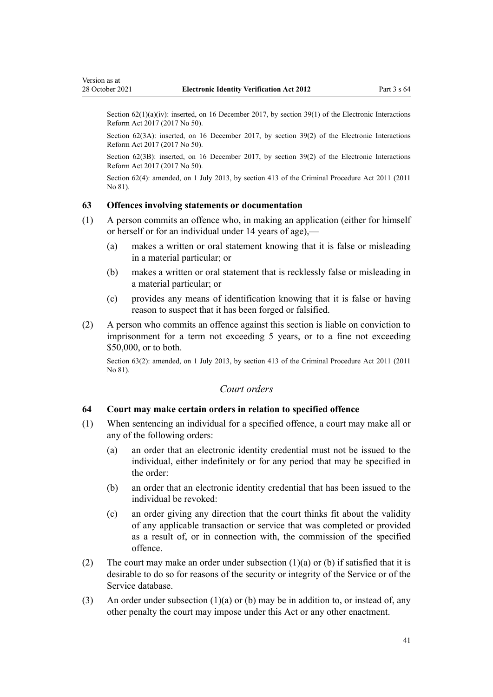<span id="page-40-0"></span>Section 62(1)(a)(iv): inserted, on 16 December 2017, by [section 39\(1\)](http://legislation.govt.nz/pdflink.aspx?id=DLM6962171) of the Electronic Interactions Reform Act 2017 (2017 No 50).

Section 62(3A): inserted, on 16 December 2017, by [section 39\(2\)](http://legislation.govt.nz/pdflink.aspx?id=DLM6962171) of the Electronic Interactions Reform Act 2017 (2017 No 50).

Section 62(3B): inserted, on 16 December 2017, by [section 39\(2\)](http://legislation.govt.nz/pdflink.aspx?id=DLM6962171) of the Electronic Interactions Reform Act 2017 (2017 No 50).

Section 62(4): amended, on 1 July 2013, by [section 413](http://legislation.govt.nz/pdflink.aspx?id=DLM3360714) of the Criminal Procedure Act 2011 (2011 No 81).

#### **63 Offences involving statements or documentation**

- (1) A person commits an offence who, in making an application (either for himself or herself or for an individual under 14 years of age),—
	- (a) makes a written or oral statement knowing that it is false or misleading in a material particular; or
	- (b) makes a written or oral statement that is recklessly false or misleading in a material particular; or
	- (c) provides any means of identification knowing that it is false or having reason to suspect that it has been forged or falsified.
- (2) A person who commits an offence against this section is liable on conviction to imprisonment for a term not exceeding 5 years, or to a fine not exceeding \$50,000, or to both.

Section 63(2): amended, on 1 July 2013, by [section 413](http://legislation.govt.nz/pdflink.aspx?id=DLM3360714) of the Criminal Procedure Act 2011 (2011 No 81).

#### *Court orders*

#### **64 Court may make certain orders in relation to specified offence**

- (1) When sentencing an individual for a specified offence, a court may make all or any of the following orders:
	- (a) an order that an electronic identity credential must not be issued to the individual, either indefinitely or for any period that may be specified in the order:
	- (b) an order that an electronic identity credential that has been issued to the individual be revoked:
	- (c) an order giving any direction that the court thinks fit about the validity of any applicable transaction or service that was completed or provided as a result of, or in connection with, the commission of the specified offence.
- (2) The court may make an order under subsection  $(1)(a)$  or  $(b)$  if satisfied that it is desirable to do so for reasons of the security or integrity of the Service or of the Service database.
- (3) An order under subsection  $(1)(a)$  or (b) may be in addition to, or instead of, any other penalty the court may impose under this Act or any other enactment.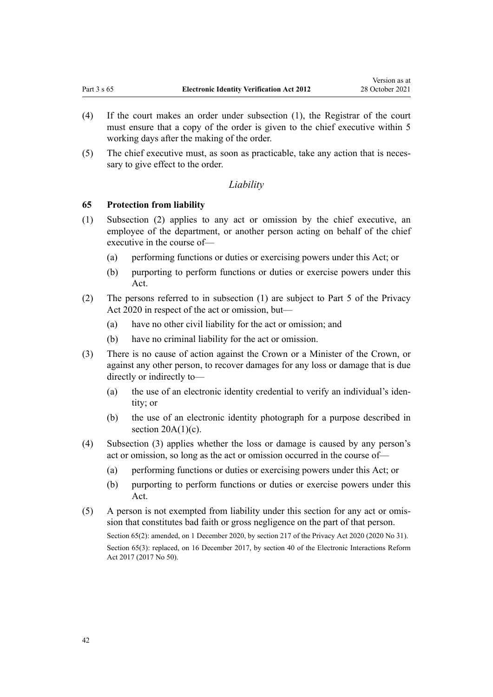- <span id="page-41-0"></span>(4) If the court makes an order under subsection (1), the Registrar of the court must ensure that a copy of the order is given to the chief executive within 5 working days after the making of the order.
- (5) The chief executive must, as soon as practicable, take any action that is neces‐ sary to give effect to the order.

#### *Liability*

#### **65 Protection from liability**

- (1) Subsection (2) applies to any act or omission by the chief executive, an employee of the department, or another person acting on behalf of the chief executive in the course of—
	- (a) performing functions or duties or exercising powers under this Act; or
	- (b) purporting to perform functions or duties or exercise powers under this Act.
- (2) The persons referred to in subsection (1) are subject to [Part 5](http://legislation.govt.nz/pdflink.aspx?id=LMS23492) of the Privacy Act 2020 in respect of the act or omission, but—
	- (a) have no other civil liability for the act or omission; and
	- (b) have no criminal liability for the act or omission.
- (3) There is no cause of action against the Crown or a Minister of the Crown, or against any other person, to recover damages for any loss or damage that is due directly or indirectly to—
	- (a) the use of an electronic identity credential to verify an individual's iden‐ tity; or
	- (b) the use of an electronic identity photograph for a purpose described in section  $20A(1)(c)$ .
- (4) Subsection (3) applies whether the loss or damage is caused by any person's act or omission, so long as the act or omission occurred in the course of—
	- (a) performing functions or duties or exercising powers under this Act; or
	- (b) purporting to perform functions or duties or exercise powers under this Act.
- (5) A person is not exempted from liability under this section for any act or omis‐ sion that constitutes bad faith or gross negligence on the part of that person. Section 65(2): amended, on 1 December 2020, by [section 217](http://legislation.govt.nz/pdflink.aspx?id=LMS23706) of the Privacy Act 2020 (2020 No 31). Section 65(3): replaced, on 16 December 2017, by [section 40](http://legislation.govt.nz/pdflink.aspx?id=DLM6962172) of the Electronic Interactions Reform Act 2017 (2017 No 50).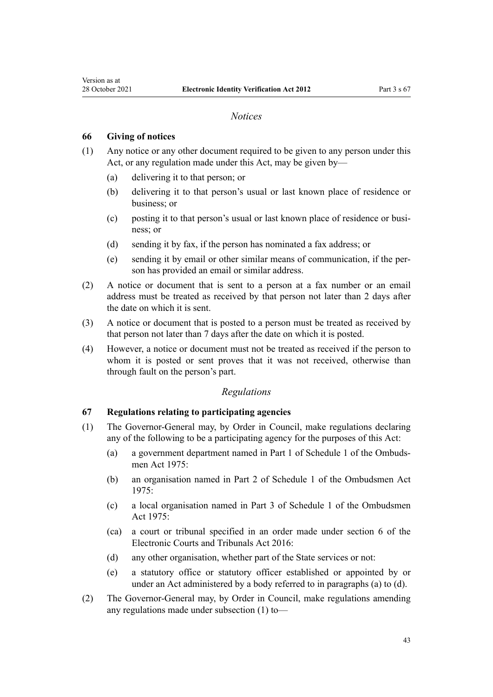#### *Notices*

#### **66 Giving of notices**

<span id="page-42-0"></span>Version as at

- (1) Any notice or any other document required to be given to any person under this Act, or any regulation made under this Act, may be given by—
	- (a) delivering it to that person; or
	- (b) delivering it to that person's usual or last known place of residence or business; or
	- (c) posting it to that person's usual or last known place of residence or busi‐ ness; or
	- (d) sending it by fax, if the person has nominated a fax address; or
	- (e) sending it by email or other similar means of communication, if the per‐ son has provided an email or similar address.
- (2) A notice or document that is sent to a person at a fax number or an email address must be treated as received by that person not later than 2 days after the date on which it is sent.
- (3) A notice or document that is posted to a person must be treated as received by that person not later than 7 days after the date on which it is posted.
- (4) However, a notice or document must not be treated as received if the person to whom it is posted or sent proves that it was not received, otherwise than through fault on the person's part.

#### *Regulations*

# **67 Regulations relating to participating agencies**

- (1) The Governor-General may, by Order in Council, make regulations declaring any of the following to be a participating agency for the purposes of this Act:
	- (a) a government department named in [Part 1](http://legislation.govt.nz/pdflink.aspx?id=DLM431205) of Schedule 1 of the Ombuds‐ men Act 1975:
	- (b) an organisation named in [Part 2](http://legislation.govt.nz/pdflink.aspx?id=DLM431296) of Schedule 1 of the Ombudsmen Act 1975:
	- (c) a local organisation named in [Part 3](http://legislation.govt.nz/pdflink.aspx?id=DLM431685) of Schedule 1 of the Ombudsmen Act 1975:
	- (ca) a court or tribunal specified in an order made under [section 6](http://legislation.govt.nz/pdflink.aspx?id=DLM6943528) of the Electronic Courts and Tribunals Act 2016:
	- (d) any other organisation, whether part of the State services or not:
	- (e) a statutory office or statutory officer established or appointed by or under an Act administered by a body referred to in paragraphs (a) to (d).
- (2) The Governor-General may, by Order in Council, make regulations amending any regulations made under subsection (1) to—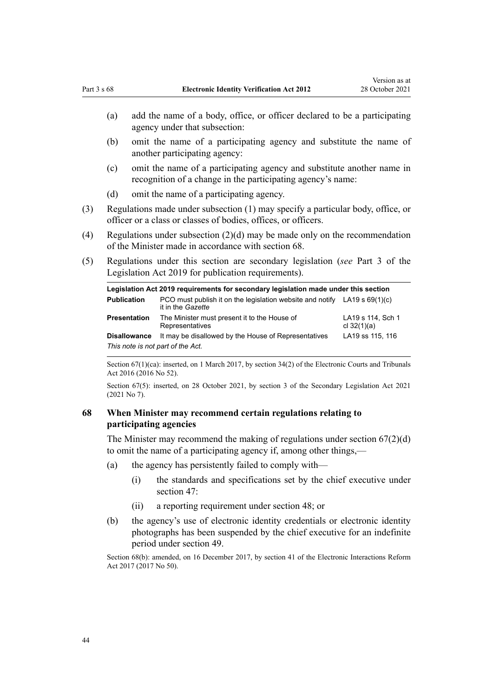- <span id="page-43-0"></span>(a) add the name of a body, office, or officer declared to be a participating agency under that subsection:
- (b) omit the name of a participating agency and substitute the name of another participating agency:
- (c) omit the name of a participating agency and substitute another name in recognition of a change in the participating agency's name:
- (d) omit the name of a participating agency.
- (3) Regulations made under subsection (1) may specify a particular body, office, or officer or a class or classes of bodies, offices, or officers.
- (4) Regulations under subsection (2)(d) may be made only on the recommendation of the Minister made in accordance with section 68.
- (5) Regulations under this section are secondary legislation (*see* [Part 3](http://legislation.govt.nz/pdflink.aspx?id=DLM7298343) of the Legislation Act 2019 for publication requirements).

| Legislation Act 2019 requirements for secondary legislation made under this section |                                                                                                  |                                    |  |
|-------------------------------------------------------------------------------------|--------------------------------------------------------------------------------------------------|------------------------------------|--|
| <b>Publication</b>                                                                  | PCO must publish it on the legislation website and notify LA19 s $69(1)(c)$<br>it in the Gazette |                                    |  |
| <b>Presentation</b>                                                                 | The Minister must present it to the House of<br>Representatives                                  | LA19 s 114, Sch 1<br>cl $32(1)(a)$ |  |
| <b>Disallowance</b>                                                                 | It may be disallowed by the House of Representatives                                             | LA19 ss 115, 116                   |  |
| This note is not part of the Act.                                                   |                                                                                                  |                                    |  |

Section 67(1)(ca): inserted, on 1 March 2017, by [section 34\(2\)](http://legislation.govt.nz/pdflink.aspx?id=DLM6943561) of the Electronic Courts and Tribunals Act 2016 (2016 No 52).

Section 67(5): inserted, on 28 October 2021, by [section 3](http://legislation.govt.nz/pdflink.aspx?id=LMS268932) of the Secondary Legislation Act 2021 (2021 No 7).

# **68 When Minister may recommend certain regulations relating to participating agencies**

The Minister may recommend the making of regulations under section  $67(2)(d)$ to omit the name of a participating agency if, among other things,—

- (a) the agency has persistently failed to comply with—
	- (i) the standards and specifications set by the chief executive under [section 47](#page-30-0):
	- (ii) a reporting requirement under [section 48;](#page-30-0) or
- (b) the agency's use of electronic identity credentials or electronic identity photographs has been suspended by the chief executive for an indefinite period under [section 49](#page-31-0).

Section 68(b): amended, on 16 December 2017, by [section 41](http://legislation.govt.nz/pdflink.aspx?id=DLM6962173) of the Electronic Interactions Reform Act 2017 (2017 No 50).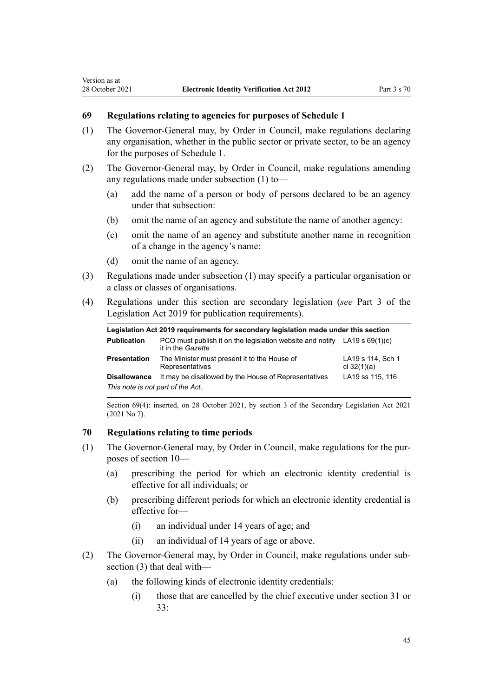#### **69 Regulations relating to agencies for purposes of Schedule 1**

- (1) The Governor-General may, by Order in Council, make regulations declaring any organisation, whether in the public sector or private sector, to be an agency for the purposes of [Schedule 1](#page-50-0).
- (2) The Governor-General may, by Order in Council, make regulations amending any regulations made under subsection (1) to—
	- (a) add the name of a person or body of persons declared to be an agency under that subsection:
	- (b) omit the name of an agency and substitute the name of another agency:
	- (c) omit the name of an agency and substitute another name in recognition of a change in the agency's name:
	- (d) omit the name of an agency.

<span id="page-44-0"></span>Version as at

- (3) Regulations made under subsection (1) may specify a particular organisation or a class or classes of organisations.
- (4) Regulations under this section are secondary legislation (*see* [Part 3](http://legislation.govt.nz/pdflink.aspx?id=DLM7298343) of the Legislation Act 2019 for publication requirements).

| Legislation Act 2019 requirements for secondary legislation made under this section |                                                                                                  |                                    |  |
|-------------------------------------------------------------------------------------|--------------------------------------------------------------------------------------------------|------------------------------------|--|
| <b>Publication</b>                                                                  | PCO must publish it on the legislation website and notify LA19 s $69(1)(c)$<br>it in the Gazette |                                    |  |
| <b>Presentation</b>                                                                 | The Minister must present it to the House of<br>Representatives                                  | LA19 s 114, Sch 1<br>cl $32(1)(a)$ |  |
| <b>Disallowance</b>                                                                 | It may be disallowed by the House of Representatives                                             | LA19 ss 115, 116                   |  |
| This note is not part of the Act.                                                   |                                                                                                  |                                    |  |

Section 69(4): inserted, on 28 October 2021, by [section 3](http://legislation.govt.nz/pdflink.aspx?id=LMS268932) of the Secondary Legislation Act 2021  $(2021$  No 7).

#### **70 Regulations relating to time periods**

- (1) The Governor-General may, by Order in Council, make regulations for the pur‐ poses of [section 10](#page-11-0)—
	- (a) prescribing the period for which an electronic identity credential is effective for all individuals; or
	- (b) prescribing different periods for which an electronic identity credential is effective for—
		- (i) an individual under 14 years of age; and
		- (ii) an individual of 14 years of age or above.
- (2) The Governor-General may, by Order in Council, make regulations under sub‐ section (3) that deal with—
	- (a) the following kinds of electronic identity credentials:
		- (i) those that are cancelled by the chief executive under [section 31](#page-22-0) or [33:](#page-23-0)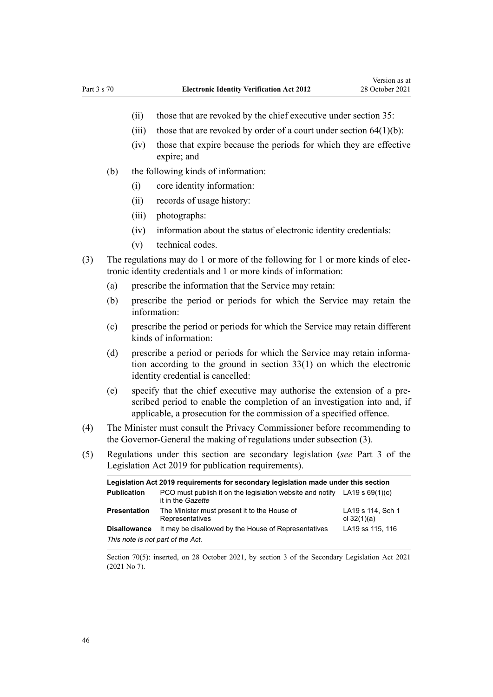- (ii) those that are revoked by the chief executive under [section 35](#page-24-0):
- (iii) those that are revoked by order of a court under section  $64(1)(b)$ :
- (iv) those that expire because the periods for which they are effective expire; and
- (b) the following kinds of information:
	- (i) core identity information:
	- (ii) records of usage history:
	- (iii) photographs:
	- (iv) information about the status of electronic identity credentials:
	- (v) technical codes.
- (3) The regulations may do 1 or more of the following for 1 or more kinds of elec‐ tronic identity credentials and 1 or more kinds of information:
	- (a) prescribe the information that the Service may retain:
	- (b) prescribe the period or periods for which the Service may retain the information:
	- (c) prescribe the period or periods for which the Service may retain different kinds of information:
	- (d) prescribe a period or periods for which the Service may retain information according to the ground in [section 33\(1\)](#page-23-0) on which the electronic identity credential is cancelled:
	- (e) specify that the chief executive may authorise the extension of a pre‐ scribed period to enable the completion of an investigation into and, if applicable, a prosecution for the commission of a specified offence.
- (4) The Minister must consult the Privacy Commissioner before recommending to the Governor-General the making of regulations under subsection (3).
- (5) Regulations under this section are secondary legislation (*see* [Part 3](http://legislation.govt.nz/pdflink.aspx?id=DLM7298343) of the Legislation Act 2019 for publication requirements).

| Legislation Act 2019 requirements for secondary legislation made under this section |                                                                                                  |                                    |  |
|-------------------------------------------------------------------------------------|--------------------------------------------------------------------------------------------------|------------------------------------|--|
| <b>Publication</b>                                                                  | PCO must publish it on the legislation website and notify LA19 s $69(1)(c)$<br>it in the Gazette |                                    |  |
| <b>Presentation</b>                                                                 | The Minister must present it to the House of<br>Representatives                                  | LA19 s 114, Sch 1<br>cl $32(1)(a)$ |  |
| <b>Disallowance</b>                                                                 | It may be disallowed by the House of Representatives                                             | LA19 ss 115, 116                   |  |
| This note is not part of the Act.                                                   |                                                                                                  |                                    |  |

Section 70(5): inserted, on 28 October 2021, by [section 3](http://legislation.govt.nz/pdflink.aspx?id=LMS268932) of the Secondary Legislation Act 2021 (2021 No 7).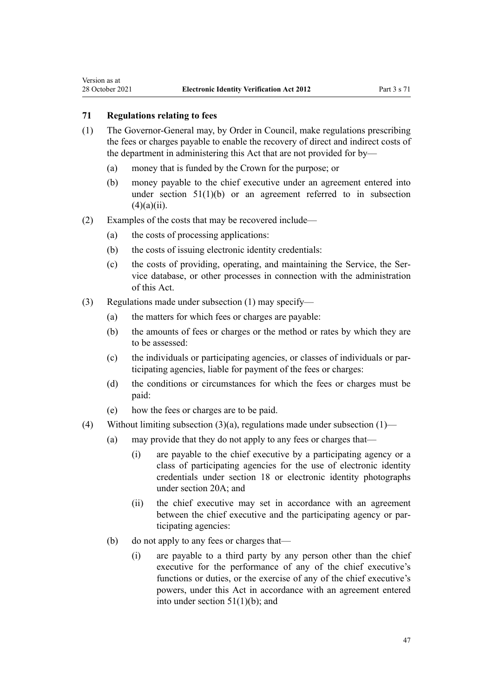<span id="page-46-0"></span>Version as at

- (1) The Governor-General may, by Order in Council, make regulations prescribing the fees or charges payable to enable the recovery of direct and indirect costs of the department in administering this Act that are not provided for by—
	- (a) money that is funded by the Crown for the purpose; or
	- (b) money payable to the chief executive under an agreement entered into under section  $51(1)(b)$  or an agreement referred to in subsection  $(4)(a)(ii)$ .
- (2) Examples of the costs that may be recovered include—
	- (a) the costs of processing applications:
	- (b) the costs of issuing electronic identity credentials:
	- (c) the costs of providing, operating, and maintaining the Service, the Service database, or other processes in connection with the administration of this Act.
- (3) Regulations made under subsection (1) may specify—
	- (a) the matters for which fees or charges are payable:
	- (b) the amounts of fees or charges or the method or rates by which they are to be assessed:
	- (c) the individuals or participating agencies, or classes of individuals or par‐ ticipating agencies, liable for payment of the fees or charges:
	- (d) the conditions or circumstances for which the fees or charges must be paid:
	- (e) how the fees or charges are to be paid.
- (4) Without limiting subsection  $(3)(a)$ , regulations made under subsection  $(1)$ 
	- (a) may provide that they do not apply to any fees or charges that—
		- (i) are payable to the chief executive by a participating agency or a class of participating agencies for the use of electronic identity credentials under [section 18](#page-14-0) or electronic identity photographs under [section 20A;](#page-16-0) and
		- (ii) the chief executive may set in accordance with an agreement between the chief executive and the participating agency or participating agencies:
	- (b) do not apply to any fees or charges that—
		- (i) are payable to a third party by any person other than the chief executive for the performance of any of the chief executive's functions or duties, or the exercise of any of the chief executive's powers, under this Act in accordance with an agreement entered into under [section 51\(1\)\(b\);](#page-33-0) and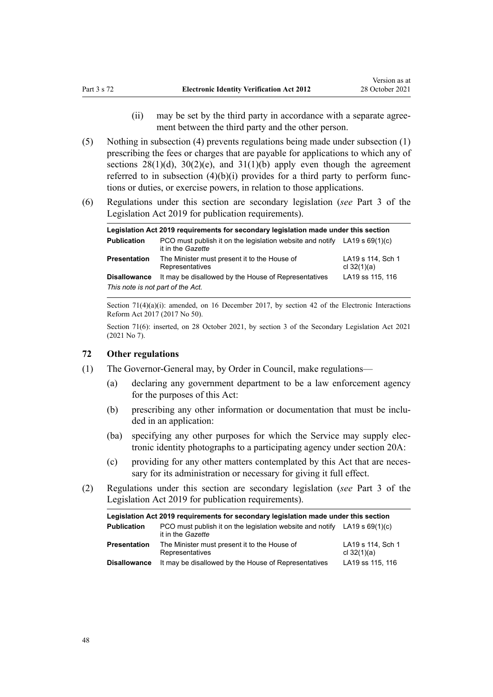- (ii) may be set by the third party in accordance with a separate agree‐ ment between the third party and the other person.
- <span id="page-47-0"></span>(5) Nothing in subsection (4) prevents regulations being made under subsection (1) prescribing the fees or charges that are payable for applications to which any of sections  $28(1)(d)$ ,  $30(2)(e)$ , and  $31(1)(b)$  apply even though the agreement referred to in subsection  $(4)(b)(i)$  provides for a third party to perform functions or duties, or exercise powers, in relation to those applications.
- (6) Regulations under this section are secondary legislation (*see* [Part 3](http://legislation.govt.nz/pdflink.aspx?id=DLM7298343) of the Legislation Act 2019 for publication requirements).

| Legislation Act 2019 requirements for secondary legislation made under this section |                                                                                                  |                                    |  |  |
|-------------------------------------------------------------------------------------|--------------------------------------------------------------------------------------------------|------------------------------------|--|--|
| <b>Publication</b>                                                                  | PCO must publish it on the legislation website and notify LA19 s $69(1)(c)$<br>it in the Gazette |                                    |  |  |
| <b>Presentation</b>                                                                 | The Minister must present it to the House of<br>Representatives                                  | LA19 s 114, Sch 1<br>cl $32(1)(a)$ |  |  |
| <b>Disallowance</b>                                                                 | It may be disallowed by the House of Representatives                                             | LA19 ss 115, 116                   |  |  |
| This note is not part of the Act.                                                   |                                                                                                  |                                    |  |  |

Section 71(4)(a)(i): amended, on 16 December 2017, by [section 42](http://legislation.govt.nz/pdflink.aspx?id=DLM6962174) of the Electronic Interactions Reform Act 2017 (2017 No 50).

Section 71(6): inserted, on 28 October 2021, by [section 3](http://legislation.govt.nz/pdflink.aspx?id=LMS268932) of the Secondary Legislation Act 2021 (2021 No 7).

#### **72 Other regulations**

- (1) The Governor-General may, by Order in Council, make regulations—
	- (a) declaring any government department to be a law enforcement agency for the purposes of this Act:
	- (b) prescribing any other information or documentation that must be included in an application:
	- (ba) specifying any other purposes for which the Service may supply elec‐ tronic identity photographs to a participating agency under [section 20A](#page-16-0):
	- (c) providing for any other matters contemplated by this Act that are necessary for its administration or necessary for giving it full effect.
- (2) Regulations under this section are secondary legislation (*see* [Part 3](http://legislation.govt.nz/pdflink.aspx?id=DLM7298343) of the Legislation Act 2019 for publication requirements).

| Legislation Act 2019 requirements for secondary legislation made under this section |                                                                                                         |                                    |  |  |
|-------------------------------------------------------------------------------------|---------------------------------------------------------------------------------------------------------|------------------------------------|--|--|
| <b>Publication</b>                                                                  | PCO must publish it on the legislation website and notify LA19 s $69(1)(c)$<br>it in the <i>Gazette</i> |                                    |  |  |
| <b>Presentation</b>                                                                 | The Minister must present it to the House of<br>Representatives                                         | LA19 s 114, Sch 1<br>cl $32(1)(a)$ |  |  |
| <b>Disallowance</b>                                                                 | It may be disallowed by the House of Representatives                                                    | LA19 ss 115, 116                   |  |  |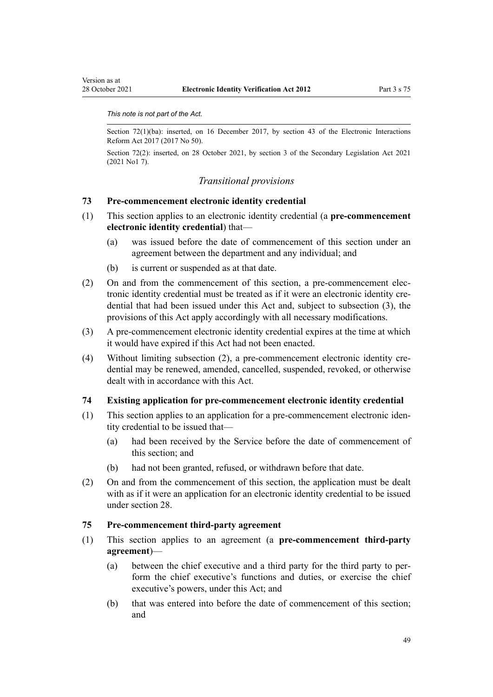#### <span id="page-48-0"></span>*This note is not part of the Act.*

Section 72(1)(ba): inserted, on 16 December 2017, by [section 43](http://legislation.govt.nz/pdflink.aspx?id=DLM6962175) of the Electronic Interactions Reform Act 2017 (2017 No 50).

Section 72(2): inserted, on 28 October 2021, by [section 3](http://legislation.govt.nz/pdflink.aspx?id=LMS268932) of the Secondary Legislation Act 2021 (2021 No1 7).

## *Transitional provisions*

#### **73 Pre-commencement electronic identity credential**

- (1) This section applies to an electronic identity credential (a **pre-commencement electronic identity credential**) that—
	- (a) was issued before the date of commencement of this section under an agreement between the department and any individual; and
	- (b) is current or suspended as at that date.
- (2) On and from the commencement of this section, a pre-commencement elec‐ tronic identity credential must be treated as if it were an electronic identity credential that had been issued under this Act and, subject to subsection (3), the provisions of this Act apply accordingly with all necessary modifications.
- (3) A pre-commencement electronic identity credential expires at the time at which it would have expired if this Act had not been enacted.
- (4) Without limiting subsection (2), a pre-commencement electronic identity credential may be renewed, amended, cancelled, suspended, revoked, or otherwise dealt with in accordance with this Act.

#### **74 Existing application for pre-commencement electronic identity credential**

- (1) This section applies to an application for a pre-commencement electronic iden‐ tity credential to be issued that—
	- (a) had been received by the Service before the date of commencement of this section; and
	- (b) had not been granted, refused, or withdrawn before that date.
- (2) On and from the commencement of this section, the application must be dealt with as if it were an application for an electronic identity credential to be issued under [section 28](#page-20-0).

#### **75 Pre-commencement third-party agreement**

- (1) This section applies to an agreement (a **pre-commencement third-party agreement**)—
	- (a) between the chief executive and a third party for the third party to per‐ form the chief executive's functions and duties, or exercise the chief executive's powers, under this Act; and
	- (b) that was entered into before the date of commencement of this section; and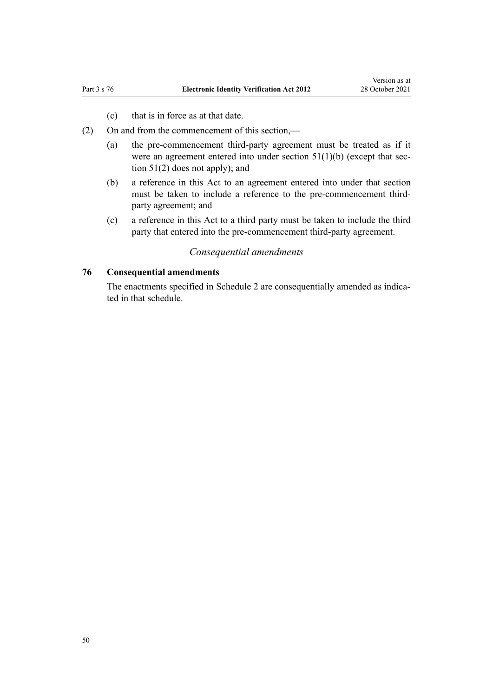- (c) that is in force as at that date.
- <span id="page-49-0"></span>(2) On and from the commencement of this section,—
	- (a) the pre-commencement third-party agreement must be treated as if it were an agreement entered into under section  $51(1)(b)$  (except that section 51(2) does not apply); and
	- (b) a reference in this Act to an agreement entered into under that section must be taken to include a reference to the pre-commencement thirdparty agreement; and
	- (c) a reference in this Act to a third party must be taken to include the third party that entered into the pre-commencement third-party agreement.

# *Consequential amendments*

# **76 Consequential amendments**

The enactments specified in [Schedule 2](#page-56-0) are consequentially amended as indicated in that schedule.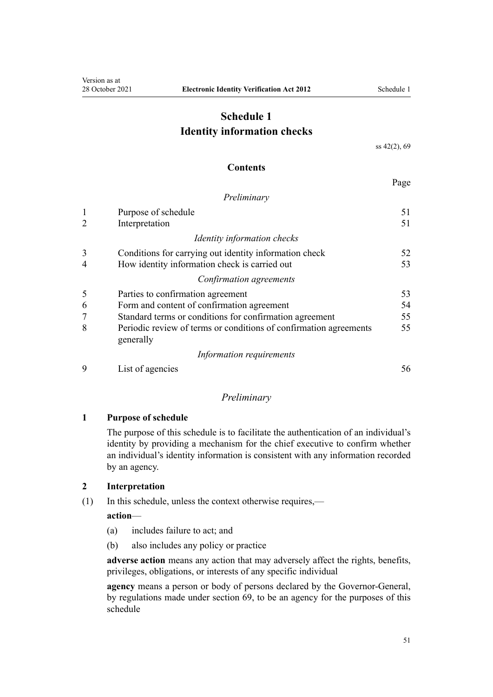# <span id="page-50-0"></span>**Schedule 1 Identity information checks**

[ss 42\(2\),](#page-27-0) [69](#page-44-0)

#### **Contents**

Page

#### *Preliminary*

| $\mathbf{1}$ | Purpose of schedule                                                            | 51 |
|--------------|--------------------------------------------------------------------------------|----|
|              | Interpretation                                                                 | 51 |
|              | Identity information checks                                                    |    |
| 3            | Conditions for carrying out identity information check                         | 52 |
|              | How identity information check is carried out                                  | 53 |
|              | Confirmation agreements                                                        |    |
| 5            | Parties to confirmation agreement                                              | 53 |
| 6            | Form and content of confirmation agreement                                     | 54 |
| 7            | Standard terms or conditions for confirmation agreement                        | 55 |
| 8            | Periodic review of terms or conditions of confirmation agreements<br>generally | 55 |
|              | Information requirements                                                       |    |
| 9            | List of agencies                                                               | 56 |

## *Preliminary*

# **1 Purpose of schedule**

The purpose of this schedule is to facilitate the authentication of an individual's identity by providing a mechanism for the chief executive to confirm whether an individual's identity information is consistent with any information recorded by an agency.

#### **2 Interpretation**

(1) In this schedule, unless the context otherwise requires,—

## **action**—

- (a) includes failure to act; and
- (b) also includes any policy or practice

**adverse action** means any action that may adversely affect the rights, benefits, privileges, obligations, or interests of any specific individual

**agency** means a person or body of persons declared by the Governor-General, by regulations made under [section 69](#page-44-0), to be an agency for the purposes of this schedule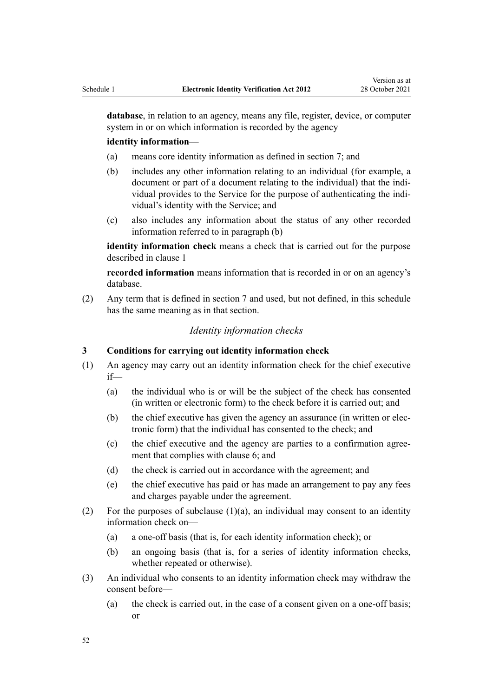<span id="page-51-0"></span>**database**, in relation to an agency, means any file, register, device, or computer system in or on which information is recorded by the agency

#### **identity information**—

- (a) means core identity information as defined in [section 7](#page-6-0); and
- (b) includes any other information relating to an individual (for example, a document or part of a document relating to the individual) that the individual provides to the Service for the purpose of authenticating the indi‐ vidual's identity with the Service; and
- (c) also includes any information about the status of any other recorded information referred to in paragraph (b)

**identity information check** means a check that is carried out for the purpose described in [clause 1](#page-50-0)

**recorded information** means information that is recorded in or on an agency's database.

(2) Any term that is defined in [section 7](#page-6-0) and used, but not defined, in this schedule has the same meaning as in that section.

# *Identity information checks*

## **3 Conditions for carrying out identity information check**

- (1) An agency may carry out an identity information check for the chief executive if—
	- (a) the individual who is or will be the subject of the check has consented (in written or electronic form) to the check before it is carried out; and
	- (b) the chief executive has given the agency an assurance (in written or elec‐ tronic form) that the individual has consented to the check; and
	- (c) the chief executive and the agency are parties to a confirmation agree‐ ment that complies with [clause 6](#page-53-0); and
	- (d) the check is carried out in accordance with the agreement; and
	- (e) the chief executive has paid or has made an arrangement to pay any fees and charges payable under the agreement.
- (2) For the purposes of subclause  $(1)(a)$ , an individual may consent to an identity information check on—
	- (a) a one-off basis (that is, for each identity information check); or
	- (b) an ongoing basis (that is, for a series of identity information checks, whether repeated or otherwise).
- (3) An individual who consents to an identity information check may withdraw the consent before—
	- (a) the check is carried out, in the case of a consent given on a one-off basis; or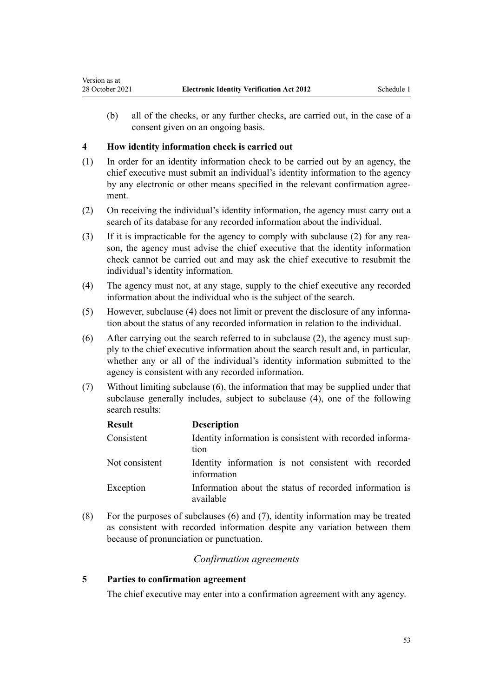(b) all of the checks, or any further checks, are carried out, in the case of a consent given on an ongoing basis.

#### **4 How identity information check is carried out**

<span id="page-52-0"></span>Version as at

- (1) In order for an identity information check to be carried out by an agency, the chief executive must submit an individual's identity information to the agency by any electronic or other means specified in the relevant confirmation agree‐ ment.
- (2) On receiving the individual's identity information, the agency must carry out a search of its database for any recorded information about the individual.
- (3) If it is impracticable for the agency to comply with subclause (2) for any rea‐ son, the agency must advise the chief executive that the identity information check cannot be carried out and may ask the chief executive to resubmit the individual's identity information.
- (4) The agency must not, at any stage, supply to the chief executive any recorded information about the individual who is the subject of the search.
- (5) However, subclause (4) does not limit or prevent the disclosure of any informa‐ tion about the status of any recorded information in relation to the individual.
- (6) After carrying out the search referred to in subclause (2), the agency must sup‐ ply to the chief executive information about the search result and, in particular, whether any or all of the individual's identity information submitted to the agency is consistent with any recorded information.
- (7) Without limiting subclause (6), the information that may be supplied under that subclause generally includes, subject to subclause (4), one of the following search results:

| <b>Result</b>  | <b>Description</b>                                                   |
|----------------|----------------------------------------------------------------------|
| Consistent     | Identity information is consistent with recorded informa-<br>tion    |
| Not consistent | Identity information is not consistent with recorded<br>information  |
| Exception      | Information about the status of recorded information is<br>available |

(8) For the purposes of subclauses (6) and (7), identity information may be treated as consistent with recorded information despite any variation between them because of pronunciation or punctuation.

# *Confirmation agreements*

## **5 Parties to confirmation agreement**

The chief executive may enter into a confirmation agreement with any agency.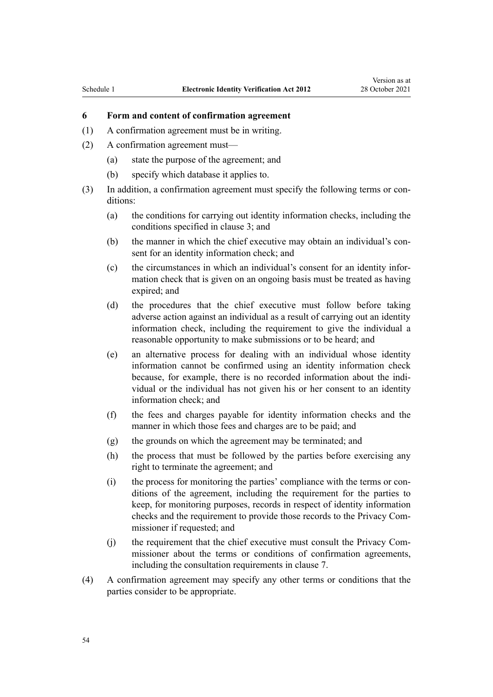# <span id="page-53-0"></span>**6 Form and content of confirmation agreement**

- (1) A confirmation agreement must be in writing.
- (2) A confirmation agreement must—
	- (a) state the purpose of the agreement; and
	- (b) specify which database it applies to.
- (3) In addition, a confirmation agreement must specify the following terms or con‐ ditions:
	- (a) the conditions for carrying out identity information checks, including the conditions specified in [clause 3;](#page-51-0) and
	- (b) the manner in which the chief executive may obtain an individual's consent for an identity information check; and
	- (c) the circumstances in which an individual's consent for an identity infor‐ mation check that is given on an ongoing basis must be treated as having expired; and
	- (d) the procedures that the chief executive must follow before taking adverse action against an individual as a result of carrying out an identity information check, including the requirement to give the individual a reasonable opportunity to make submissions or to be heard; and
	- (e) an alternative process for dealing with an individual whose identity information cannot be confirmed using an identity information check because, for example, there is no recorded information about the individual or the individual has not given his or her consent to an identity information check; and
	- (f) the fees and charges payable for identity information checks and the manner in which those fees and charges are to be paid; and
	- (g) the grounds on which the agreement may be terminated; and
	- (h) the process that must be followed by the parties before exercising any right to terminate the agreement; and
	- $(i)$  the process for monitoring the parties' compliance with the terms or conditions of the agreement, including the requirement for the parties to keep, for monitoring purposes, records in respect of identity information checks and the requirement to provide those records to the Privacy Com‐ missioner if requested; and
	- (i) the requirement that the chief executive must consult the Privacy Commissioner about the terms or conditions of confirmation agreements, including the consultation requirements in [clause 7.](#page-54-0)
- (4) A confirmation agreement may specify any other terms or conditions that the parties consider to be appropriate.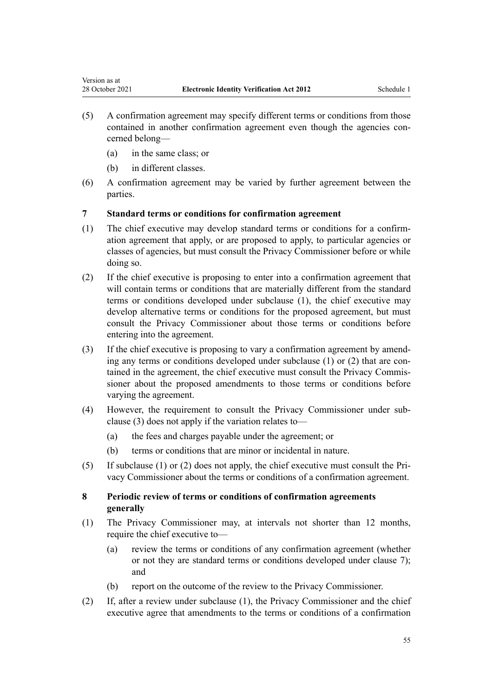- (5) A confirmation agreement may specify different terms or conditions from those contained in another confirmation agreement even though the agencies concerned belong—
	- (a) in the same class; or

<span id="page-54-0"></span>Version as at

- (b) in different classes.
- (6) A confirmation agreement may be varied by further agreement between the parties.

# **7 Standard terms or conditions for confirmation agreement**

- (1) The chief executive may develop standard terms or conditions for a confirm‐ ation agreement that apply, or are proposed to apply, to particular agencies or classes of agencies, but must consult the Privacy Commissioner before or while doing so.
- (2) If the chief executive is proposing to enter into a confirmation agreement that will contain terms or conditions that are materially different from the standard terms or conditions developed under subclause (1), the chief executive may develop alternative terms or conditions for the proposed agreement, but must consult the Privacy Commissioner about those terms or conditions before entering into the agreement.
- (3) If the chief executive is proposing to vary a confirmation agreement by amend‐ ing any terms or conditions developed under subclause  $(1)$  or  $(2)$  that are contained in the agreement, the chief executive must consult the Privacy Commissioner about the proposed amendments to those terms or conditions before varying the agreement.
- (4) However, the requirement to consult the Privacy Commissioner under sub‐ clause (3) does not apply if the variation relates to—
	- (a) the fees and charges payable under the agreement; or
	- (b) terms or conditions that are minor or incidental in nature.
- (5) If subclause (1) or (2) does not apply, the chief executive must consult the Pri‐ vacy Commissioner about the terms or conditions of a confirmation agreement.

# **8 Periodic review of terms or conditions of confirmation agreements generally**

- (1) The Privacy Commissioner may, at intervals not shorter than 12 months, require the chief executive to—
	- (a) review the terms or conditions of any confirmation agreement (whether or not they are standard terms or conditions developed under clause 7); and
	- (b) report on the outcome of the review to the Privacy Commissioner.
- (2) If, after a review under subclause (1), the Privacy Commissioner and the chief executive agree that amendments to the terms or conditions of a confirmation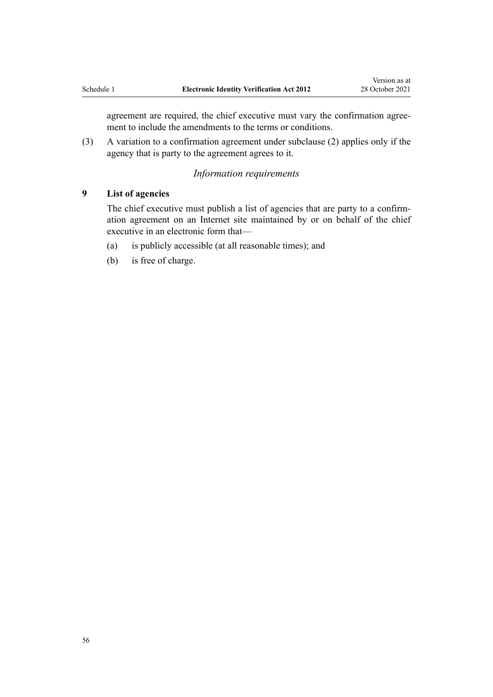<span id="page-55-0"></span>agreement are required, the chief executive must vary the confirmation agreement to include the amendments to the terms or conditions.

(3) A variation to a confirmation agreement under subclause (2) applies only if the agency that is party to the agreement agrees to it.

# *Information requirements*

#### **9 List of agencies**

The chief executive must publish a list of agencies that are party to a confirm‐ ation agreement on an Internet site maintained by or on behalf of the chief executive in an electronic form that—

- (a) is publicly accessible (at all reasonable times); and
- (b) is free of charge.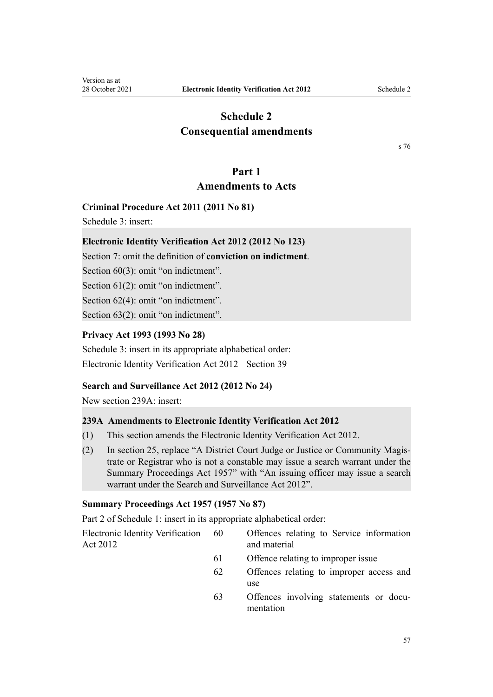# <span id="page-56-0"></span>**Schedule 2 Consequential amendments**

[s 76](#page-49-0)

# **Part 1 Amendments to Acts**

# **Criminal Procedure Act 2011 (2011 No 81)**

[Schedule 3:](http://legislation.govt.nz/pdflink.aspx?id=DLM3360935) insert:

# **Electronic Identity Verification Act 2012 (2012 No 123)**

Section 7: omit the definition of **conviction on indictment**.

Section 60(3): omit "on indictment".

Section 61(2): omit "on indictment".

Section 62(4): omit "on indictment".

Section 63(2): omit "on indictment".

# **Privacy Act 1993 (1993 No 28)**

[Schedule 3:](http://legislation.govt.nz/pdflink.aspx?id=DLM298748) insert in its appropriate alphabetical order: Electronic Identity Verification Act 2012 Section 39

# **Search and Surveillance Act 2012 (2012 No 24)**

New section 239A: insert:

# **239A Amendments to Electronic Identity Verification Act 2012**

- (1) This section amends the Electronic Identity Verification Act 2012.
- (2) In section 25, replace "A District Court Judge or Justice or Community Magis‐ trate or Registrar who is not a constable may issue a search warrant under the Summary Proceedings Act 1957" with "An issuing officer may issue a search warrant under the Search and Surveillance Act 2012".

# **Summary Proceedings Act 1957 (1957 No 87)**

[Part 2](http://legislation.govt.nz/pdflink.aspx?id=DLM311185) of Schedule 1: insert in its appropriate alphabetical order:

Electronic Identity Verification Act 2012

- 60 Offences relating to Service information and material
- 61 Offence relating to improper issue
- 62 Offences relating to improper access and use
- 63 Offences involving statements or docu‐ mentation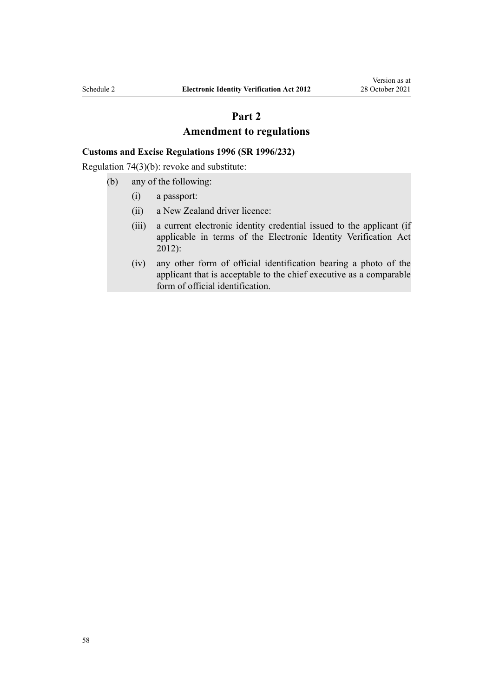# **Part 2**

# **Amendment to regulations**

# **Customs and Excise Regulations 1996 (SR 1996/232)**

[Regulation 74\(3\)\(b\):](http://legislation.govt.nz/pdflink.aspx?id=DLM221275) revoke and substitute:

- (b) any of the following:
	- (i) a passport:
	- (ii) a New Zealand driver licence:
	- (iii) a current electronic identity credential issued to the applicant (if applicable in terms of the Electronic Identity Verification Act 2012):
	- (iv) any other form of official identification bearing a photo of the applicant that is acceptable to the chief executive as a comparable form of official identification.